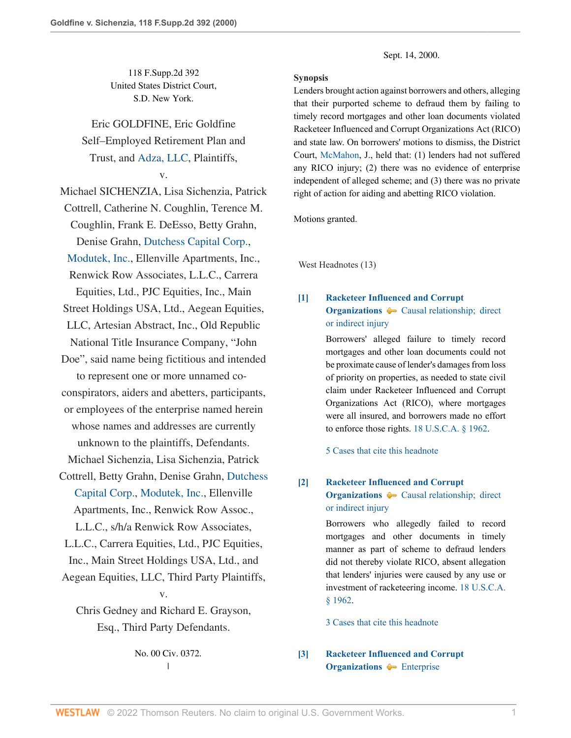118 F.Supp.2d 392 United States District Court, S.D. New York.

Eric GOLDFINE, Eric Goldfine Self–Employed Retirement Plan and Trust, and [Adza, LLC,](http://www.westlaw.com/Search/Results.html?query=advanced%3a+OAID(5058117155)&saveJuris=False&contentType=BUSINESS-INVESTIGATOR&startIndex=1&contextData=(sc.Default)&categoryPageUrl=Home%2fCompanyInvestigator&originationContext=document&vr=3.0&rs=cblt1.0&transitionType=DocumentItem) Plaintiffs,

### v.

Michael SICHENZIA, Lisa Sichenzia, Patrick Cottrell, Catherine N. Coughlin, Terence M. Coughlin, Frank E. DeEsso, Betty Grahn, Denise Grahn, [Dutchess Capital Corp.,](http://www.westlaw.com/Search/Results.html?query=advanced%3a+OAID(5001743412)&saveJuris=False&contentType=BUSINESS-INVESTIGATOR&startIndex=1&contextData=(sc.Default)&categoryPageUrl=Home%2fCompanyInvestigator&originationContext=document&vr=3.0&rs=cblt1.0&transitionType=DocumentItem) [Modutek, Inc.,](http://www.westlaw.com/Search/Results.html?query=advanced%3a+OAID(4296900356)&saveJuris=False&contentType=BUSINESS-INVESTIGATOR&startIndex=1&contextData=(sc.Default)&categoryPageUrl=Home%2fCompanyInvestigator&originationContext=document&vr=3.0&rs=cblt1.0&transitionType=DocumentItem) Ellenville Apartments, Inc., Renwick Row Associates, L.L.C., Carrera Equities, Ltd., PJC Equities, Inc., Main Street Holdings USA, Ltd., Aegean Equities, LLC, Artesian Abstract, Inc., Old Republic National Title Insurance Company, "John Doe", said name being fictitious and intended to represent one or more unnamed coconspirators, aiders and abetters, participants, or employees of the enterprise named herein whose names and addresses are currently unknown to the plaintiffs, Defendants. Michael Sichenzia, Lisa Sichenzia, Patrick Cottrell, Betty Grahn, Denise Grahn, [Dutchess](http://www.westlaw.com/Search/Results.html?query=advanced%3a+OAID(5001743412)&saveJuris=False&contentType=BUSINESS-INVESTIGATOR&startIndex=1&contextData=(sc.Default)&categoryPageUrl=Home%2fCompanyInvestigator&originationContext=document&vr=3.0&rs=cblt1.0&transitionType=DocumentItem) [Capital Corp.,](http://www.westlaw.com/Search/Results.html?query=advanced%3a+OAID(5001743412)&saveJuris=False&contentType=BUSINESS-INVESTIGATOR&startIndex=1&contextData=(sc.Default)&categoryPageUrl=Home%2fCompanyInvestigator&originationContext=document&vr=3.0&rs=cblt1.0&transitionType=DocumentItem) [Modutek, Inc.](http://www.westlaw.com/Search/Results.html?query=advanced%3a+OAID(4296900356)&saveJuris=False&contentType=BUSINESS-INVESTIGATOR&startIndex=1&contextData=(sc.Default)&categoryPageUrl=Home%2fCompanyInvestigator&originationContext=document&vr=3.0&rs=cblt1.0&transitionType=DocumentItem), Ellenville Apartments, Inc., Renwick Row Assoc., L.L.C., s/h/a Renwick Row Associates, L.L.C., Carrera Equities, Ltd., PJC Equities, Inc., Main Street Holdings USA, Ltd., and

Aegean Equities, LLC, Third Party Plaintiffs,

## v.

Chris Gedney and Richard E. Grayson, Esq., Third Party Defendants.

> No. 00 Civ. 0372.  $\overline{1}$ |

Sept. 14, 2000.

### **Synopsis**

Lenders brought action against borrowers and others, alleging that their purported scheme to defraud them by failing to timely record mortgages and other loan documents violated Racketeer Influenced and Corrupt Organizations Act (RICO) and state law. On borrowers' motions to dismiss, the District Court, [McMahon](http://www.westlaw.com/Link/Document/FullText?findType=h&pubNum=176284&cite=0281535101&originatingDoc=Ib2410cc053d411d9b17ee4cdc604a702&refType=RQ&originationContext=document&vr=3.0&rs=cblt1.0&transitionType=DocumentItem&contextData=(sc.UserEnteredCitation)), J., held that: (1) lenders had not suffered any RICO injury; (2) there was no evidence of enterprise independent of alleged scheme; and (3) there was no private right of action for aiding and abetting RICO violation.

Motions granted.

West Headnotes (13)

# <span id="page-0-0"></span>**[\[1\]](#page-4-0) [Racketeer Influenced and Corrupt](http://www.westlaw.com/Browse/Home/KeyNumber/319H/View.html?docGuid=Ib2410cc053d411d9b17ee4cdc604a702&originationContext=document&vr=3.0&rs=cblt1.0&transitionType=DocumentItem&contextData=(sc.UserEnteredCitation)) [Organizations](http://www.westlaw.com/Browse/Home/KeyNumber/319H/View.html?docGuid=Ib2410cc053d411d9b17ee4cdc604a702&originationContext=document&vr=3.0&rs=cblt1.0&transitionType=DocumentItem&contextData=(sc.UserEnteredCitation))**  $\rightarrow$  Causal relationship; direct [or indirect injury](http://www.westlaw.com/Browse/Home/KeyNumber/319Hk62/View.html?docGuid=Ib2410cc053d411d9b17ee4cdc604a702&originationContext=document&vr=3.0&rs=cblt1.0&transitionType=DocumentItem&contextData=(sc.UserEnteredCitation))

Borrowers' alleged failure to timely record mortgages and other loan documents could not be proximate cause of lender's damages from loss of priority on properties, as needed to state civil claim under Racketeer Influenced and Corrupt Organizations Act (RICO), where mortgages were all insured, and borrowers made no effort to enforce those rights. [18 U.S.C.A. § 1962.](http://www.westlaw.com/Link/Document/FullText?findType=L&pubNum=1000546&cite=18USCAS1962&originatingDoc=Ib2410cc053d411d9b17ee4cdc604a702&refType=LQ&originationContext=document&vr=3.0&rs=cblt1.0&transitionType=DocumentItem&contextData=(sc.UserEnteredCitation))

[5 Cases that cite this headnote](http://www.westlaw.com/Link/RelatedInformation/DocHeadnoteLink?docGuid=Ib2410cc053d411d9b17ee4cdc604a702&headnoteId=200057129800120200709091537&originationContext=document&vr=3.0&rs=cblt1.0&transitionType=CitingReferences&contextData=(sc.UserEnteredCitation))

### <span id="page-0-1"></span>**[\[2\]](#page-6-0) [Racketeer Influenced and Corrupt](http://www.westlaw.com/Browse/Home/KeyNumber/319H/View.html?docGuid=Ib2410cc053d411d9b17ee4cdc604a702&originationContext=document&vr=3.0&rs=cblt1.0&transitionType=DocumentItem&contextData=(sc.UserEnteredCitation))**

**[Organizations](http://www.westlaw.com/Browse/Home/KeyNumber/319H/View.html?docGuid=Ib2410cc053d411d9b17ee4cdc604a702&originationContext=document&vr=3.0&rs=cblt1.0&transitionType=DocumentItem&contextData=(sc.UserEnteredCitation))**  $\rightarrow$  Causal relationship; direct [or indirect injury](http://www.westlaw.com/Browse/Home/KeyNumber/319Hk62/View.html?docGuid=Ib2410cc053d411d9b17ee4cdc604a702&originationContext=document&vr=3.0&rs=cblt1.0&transitionType=DocumentItem&contextData=(sc.UserEnteredCitation))

Borrowers who allegedly failed to record mortgages and other documents in timely manner as part of scheme to defraud lenders did not thereby violate RICO, absent allegation that lenders' injuries were caused by any use or investment of racketeering income. [18 U.S.C.A.](http://www.westlaw.com/Link/Document/FullText?findType=L&pubNum=1000546&cite=18USCAS1962&originatingDoc=Ib2410cc053d411d9b17ee4cdc604a702&refType=LQ&originationContext=document&vr=3.0&rs=cblt1.0&transitionType=DocumentItem&contextData=(sc.UserEnteredCitation)) [§ 1962](http://www.westlaw.com/Link/Document/FullText?findType=L&pubNum=1000546&cite=18USCAS1962&originatingDoc=Ib2410cc053d411d9b17ee4cdc604a702&refType=LQ&originationContext=document&vr=3.0&rs=cblt1.0&transitionType=DocumentItem&contextData=(sc.UserEnteredCitation)).

[3 Cases that cite this headnote](http://www.westlaw.com/Link/RelatedInformation/DocHeadnoteLink?docGuid=Ib2410cc053d411d9b17ee4cdc604a702&headnoteId=200057129800220200709091537&originationContext=document&vr=3.0&rs=cblt1.0&transitionType=CitingReferences&contextData=(sc.UserEnteredCitation))

<span id="page-0-2"></span>**[\[3\]](#page-7-0) [Racketeer Influenced and Corrupt](http://www.westlaw.com/Browse/Home/KeyNumber/319H/View.html?docGuid=Ib2410cc053d411d9b17ee4cdc604a702&originationContext=document&vr=3.0&rs=cblt1.0&transitionType=DocumentItem&contextData=(sc.UserEnteredCitation)) [Organizations](http://www.westlaw.com/Browse/Home/KeyNumber/319H/View.html?docGuid=Ib2410cc053d411d9b17ee4cdc604a702&originationContext=document&vr=3.0&rs=cblt1.0&transitionType=DocumentItem&contextData=(sc.UserEnteredCitation))**  $\blacklozenge$  [Enterprise](http://www.westlaw.com/Browse/Home/KeyNumber/319Hk73/View.html?docGuid=Ib2410cc053d411d9b17ee4cdc604a702&originationContext=document&vr=3.0&rs=cblt1.0&transitionType=DocumentItem&contextData=(sc.UserEnteredCitation))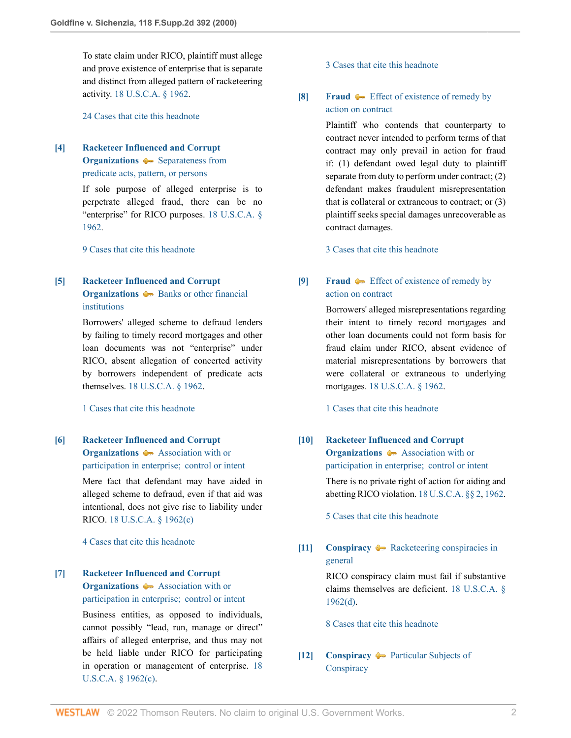To state claim under RICO, plaintiff must allege and prove existence of enterprise that is separate and distinct from alleged pattern of racketeering activity. [18 U.S.C.A. § 1962.](http://www.westlaw.com/Link/Document/FullText?findType=L&pubNum=1000546&cite=18USCAS1962&originatingDoc=Ib2410cc053d411d9b17ee4cdc604a702&refType=LQ&originationContext=document&vr=3.0&rs=cblt1.0&transitionType=DocumentItem&contextData=(sc.UserEnteredCitation))

[24 Cases that cite this headnote](http://www.westlaw.com/Link/RelatedInformation/DocHeadnoteLink?docGuid=Ib2410cc053d411d9b17ee4cdc604a702&headnoteId=200057129800320200709091537&originationContext=document&vr=3.0&rs=cblt1.0&transitionType=CitingReferences&contextData=(sc.UserEnteredCitation))

<span id="page-1-0"></span>**[\[4\]](#page-7-1) [Racketeer Influenced and Corrupt](http://www.westlaw.com/Browse/Home/KeyNumber/319H/View.html?docGuid=Ib2410cc053d411d9b17ee4cdc604a702&originationContext=document&vr=3.0&rs=cblt1.0&transitionType=DocumentItem&contextData=(sc.UserEnteredCitation)) [Organizations](http://www.westlaw.com/Browse/Home/KeyNumber/319H/View.html?docGuid=Ib2410cc053d411d9b17ee4cdc604a702&originationContext=document&vr=3.0&rs=cblt1.0&transitionType=DocumentItem&contextData=(sc.UserEnteredCitation))**  $\bullet$  [Separateness from](http://www.westlaw.com/Browse/Home/KeyNumber/319Hk38/View.html?docGuid=Ib2410cc053d411d9b17ee4cdc604a702&originationContext=document&vr=3.0&rs=cblt1.0&transitionType=DocumentItem&contextData=(sc.UserEnteredCitation)) [predicate acts, pattern, or persons](http://www.westlaw.com/Browse/Home/KeyNumber/319Hk38/View.html?docGuid=Ib2410cc053d411d9b17ee4cdc604a702&originationContext=document&vr=3.0&rs=cblt1.0&transitionType=DocumentItem&contextData=(sc.UserEnteredCitation))

> If sole purpose of alleged enterprise is to perpetrate alleged fraud, there can be no "enterprise" for RICO purposes. [18 U.S.C.A. §](http://www.westlaw.com/Link/Document/FullText?findType=L&pubNum=1000546&cite=18USCAS1962&originatingDoc=Ib2410cc053d411d9b17ee4cdc604a702&refType=LQ&originationContext=document&vr=3.0&rs=cblt1.0&transitionType=DocumentItem&contextData=(sc.UserEnteredCitation)) [1962](http://www.westlaw.com/Link/Document/FullText?findType=L&pubNum=1000546&cite=18USCAS1962&originatingDoc=Ib2410cc053d411d9b17ee4cdc604a702&refType=LQ&originationContext=document&vr=3.0&rs=cblt1.0&transitionType=DocumentItem&contextData=(sc.UserEnteredCitation)).

[9 Cases that cite this headnote](http://www.westlaw.com/Link/RelatedInformation/DocHeadnoteLink?docGuid=Ib2410cc053d411d9b17ee4cdc604a702&headnoteId=200057129800420200709091537&originationContext=document&vr=3.0&rs=cblt1.0&transitionType=CitingReferences&contextData=(sc.UserEnteredCitation))

## <span id="page-1-1"></span>**[\[5\]](#page-7-2) [Racketeer Influenced and Corrupt](http://www.westlaw.com/Browse/Home/KeyNumber/319H/View.html?docGuid=Ib2410cc053d411d9b17ee4cdc604a702&originationContext=document&vr=3.0&rs=cblt1.0&transitionType=DocumentItem&contextData=(sc.UserEnteredCitation)) [Organizations](http://www.westlaw.com/Browse/Home/KeyNumber/319H/View.html?docGuid=Ib2410cc053d411d9b17ee4cdc604a702&originationContext=document&vr=3.0&rs=cblt1.0&transitionType=DocumentItem&contextData=(sc.UserEnteredCitation))**  $\blacklozenge$  [Banks or other financial](http://www.westlaw.com/Browse/Home/KeyNumber/319Hk43/View.html?docGuid=Ib2410cc053d411d9b17ee4cdc604a702&originationContext=document&vr=3.0&rs=cblt1.0&transitionType=DocumentItem&contextData=(sc.UserEnteredCitation)) [institutions](http://www.westlaw.com/Browse/Home/KeyNumber/319Hk43/View.html?docGuid=Ib2410cc053d411d9b17ee4cdc604a702&originationContext=document&vr=3.0&rs=cblt1.0&transitionType=DocumentItem&contextData=(sc.UserEnteredCitation))

Borrowers' alleged scheme to defraud lenders by failing to timely record mortgages and other loan documents was not "enterprise" under RICO, absent allegation of concerted activity by borrowers independent of predicate acts themselves. [18 U.S.C.A. § 1962](http://www.westlaw.com/Link/Document/FullText?findType=L&pubNum=1000546&cite=18USCAS1962&originatingDoc=Ib2410cc053d411d9b17ee4cdc604a702&refType=LQ&originationContext=document&vr=3.0&rs=cblt1.0&transitionType=DocumentItem&contextData=(sc.UserEnteredCitation)).

[1 Cases that cite this headnote](http://www.westlaw.com/Link/RelatedInformation/DocHeadnoteLink?docGuid=Ib2410cc053d411d9b17ee4cdc604a702&headnoteId=200057129800520200709091537&originationContext=document&vr=3.0&rs=cblt1.0&transitionType=CitingReferences&contextData=(sc.UserEnteredCitation))

## <span id="page-1-2"></span>**[\[6\]](#page-9-0) [Racketeer Influenced and Corrupt](http://www.westlaw.com/Browse/Home/KeyNumber/319H/View.html?docGuid=Ib2410cc053d411d9b17ee4cdc604a702&originationContext=document&vr=3.0&rs=cblt1.0&transitionType=DocumentItem&contextData=(sc.UserEnteredCitation)) [Organizations](http://www.westlaw.com/Browse/Home/KeyNumber/319H/View.html?docGuid=Ib2410cc053d411d9b17ee4cdc604a702&originationContext=document&vr=3.0&rs=cblt1.0&transitionType=DocumentItem&contextData=(sc.UserEnteredCitation))**  $\rightarrow$  [Association with or](http://www.westlaw.com/Browse/Home/KeyNumber/319Hk50/View.html?docGuid=Ib2410cc053d411d9b17ee4cdc604a702&originationContext=document&vr=3.0&rs=cblt1.0&transitionType=DocumentItem&contextData=(sc.UserEnteredCitation)) [participation in enterprise;  control or intent](http://www.westlaw.com/Browse/Home/KeyNumber/319Hk50/View.html?docGuid=Ib2410cc053d411d9b17ee4cdc604a702&originationContext=document&vr=3.0&rs=cblt1.0&transitionType=DocumentItem&contextData=(sc.UserEnteredCitation))

Mere fact that defendant may have aided in alleged scheme to defraud, even if that aid was intentional, does not give rise to liability under RICO. [18 U.S.C.A. § 1962\(c\)](http://www.westlaw.com/Link/Document/FullText?findType=L&pubNum=1000546&cite=18USCAS1962&originatingDoc=Ib2410cc053d411d9b17ee4cdc604a702&refType=RB&originationContext=document&vr=3.0&rs=cblt1.0&transitionType=DocumentItem&contextData=(sc.UserEnteredCitation)#co_pp_4b24000003ba5)

[4 Cases that cite this headnote](http://www.westlaw.com/Link/RelatedInformation/DocHeadnoteLink?docGuid=Ib2410cc053d411d9b17ee4cdc604a702&headnoteId=200057129800620200709091537&originationContext=document&vr=3.0&rs=cblt1.0&transitionType=CitingReferences&contextData=(sc.UserEnteredCitation))

## <span id="page-1-3"></span>**[\[7\]](#page-9-1) [Racketeer Influenced and Corrupt](http://www.westlaw.com/Browse/Home/KeyNumber/319H/View.html?docGuid=Ib2410cc053d411d9b17ee4cdc604a702&originationContext=document&vr=3.0&rs=cblt1.0&transitionType=DocumentItem&contextData=(sc.UserEnteredCitation)) [Organizations](http://www.westlaw.com/Browse/Home/KeyNumber/319H/View.html?docGuid=Ib2410cc053d411d9b17ee4cdc604a702&originationContext=document&vr=3.0&rs=cblt1.0&transitionType=DocumentItem&contextData=(sc.UserEnteredCitation))**  $\rightarrow$  [Association with or](http://www.westlaw.com/Browse/Home/KeyNumber/319Hk50/View.html?docGuid=Ib2410cc053d411d9b17ee4cdc604a702&originationContext=document&vr=3.0&rs=cblt1.0&transitionType=DocumentItem&contextData=(sc.UserEnteredCitation)) [participation in enterprise;  control or intent](http://www.westlaw.com/Browse/Home/KeyNumber/319Hk50/View.html?docGuid=Ib2410cc053d411d9b17ee4cdc604a702&originationContext=document&vr=3.0&rs=cblt1.0&transitionType=DocumentItem&contextData=(sc.UserEnteredCitation))

Business entities, as opposed to individuals, cannot possibly "lead, run, manage or direct" affairs of alleged enterprise, and thus may not be held liable under RICO for participating in operation or management of enterprise. [18](http://www.westlaw.com/Link/Document/FullText?findType=L&pubNum=1000546&cite=18USCAS1962&originatingDoc=Ib2410cc053d411d9b17ee4cdc604a702&refType=RB&originationContext=document&vr=3.0&rs=cblt1.0&transitionType=DocumentItem&contextData=(sc.UserEnteredCitation)#co_pp_4b24000003ba5) [U.S.C.A. § 1962\(c\)](http://www.westlaw.com/Link/Document/FullText?findType=L&pubNum=1000546&cite=18USCAS1962&originatingDoc=Ib2410cc053d411d9b17ee4cdc604a702&refType=RB&originationContext=document&vr=3.0&rs=cblt1.0&transitionType=DocumentItem&contextData=(sc.UserEnteredCitation)#co_pp_4b24000003ba5).

[3 Cases that cite this headnote](http://www.westlaw.com/Link/RelatedInformation/DocHeadnoteLink?docGuid=Ib2410cc053d411d9b17ee4cdc604a702&headnoteId=200057129800720200709091537&originationContext=document&vr=3.0&rs=cblt1.0&transitionType=CitingReferences&contextData=(sc.UserEnteredCitation))

## <span id="page-1-4"></span>**[\[8\]](#page-9-2) [Fraud](http://www.westlaw.com/Browse/Home/KeyNumber/184/View.html?docGuid=Ib2410cc053d411d9b17ee4cdc604a702&originationContext=document&vr=3.0&rs=cblt1.0&transitionType=DocumentItem&contextData=(sc.UserEnteredCitation))**  $\leftarrow$  [Effect of existence of remedy by](http://www.westlaw.com/Browse/Home/KeyNumber/184k32/View.html?docGuid=Ib2410cc053d411d9b17ee4cdc604a702&originationContext=document&vr=3.0&rs=cblt1.0&transitionType=DocumentItem&contextData=(sc.UserEnteredCitation)) [action on contract](http://www.westlaw.com/Browse/Home/KeyNumber/184k32/View.html?docGuid=Ib2410cc053d411d9b17ee4cdc604a702&originationContext=document&vr=3.0&rs=cblt1.0&transitionType=DocumentItem&contextData=(sc.UserEnteredCitation))

Plaintiff who contends that counterparty to contract never intended to perform terms of that contract may only prevail in action for fraud if: (1) defendant owed legal duty to plaintiff separate from duty to perform under contract; (2) defendant makes fraudulent misrepresentation that is collateral or extraneous to contract; or (3) plaintiff seeks special damages unrecoverable as contract damages.

[3 Cases that cite this headnote](http://www.westlaw.com/Link/RelatedInformation/DocHeadnoteLink?docGuid=Ib2410cc053d411d9b17ee4cdc604a702&headnoteId=200057129800820200709091537&originationContext=document&vr=3.0&rs=cblt1.0&transitionType=CitingReferences&contextData=(sc.UserEnteredCitation))

# <span id="page-1-5"></span>**[\[9\]](#page-10-0) [Fraud](http://www.westlaw.com/Browse/Home/KeyNumber/184/View.html?docGuid=Ib2410cc053d411d9b17ee4cdc604a702&originationContext=document&vr=3.0&rs=cblt1.0&transitionType=DocumentItem&contextData=(sc.UserEnteredCitation))**  $\blacklozenge$  **[Effect of existence of remedy by](http://www.westlaw.com/Browse/Home/KeyNumber/184k32/View.html?docGuid=Ib2410cc053d411d9b17ee4cdc604a702&originationContext=document&vr=3.0&rs=cblt1.0&transitionType=DocumentItem&contextData=(sc.UserEnteredCitation))** [action on contract](http://www.westlaw.com/Browse/Home/KeyNumber/184k32/View.html?docGuid=Ib2410cc053d411d9b17ee4cdc604a702&originationContext=document&vr=3.0&rs=cblt1.0&transitionType=DocumentItem&contextData=(sc.UserEnteredCitation))

Borrowers' alleged misrepresentations regarding their intent to timely record mortgages and other loan documents could not form basis for fraud claim under RICO, absent evidence of material misrepresentations by borrowers that were collateral or extraneous to underlying mortgages. [18 U.S.C.A. § 1962](http://www.westlaw.com/Link/Document/FullText?findType=L&pubNum=1000546&cite=18USCAS1962&originatingDoc=Ib2410cc053d411d9b17ee4cdc604a702&refType=LQ&originationContext=document&vr=3.0&rs=cblt1.0&transitionType=DocumentItem&contextData=(sc.UserEnteredCitation)).

[1 Cases that cite this headnote](http://www.westlaw.com/Link/RelatedInformation/DocHeadnoteLink?docGuid=Ib2410cc053d411d9b17ee4cdc604a702&headnoteId=200057129800920200709091537&originationContext=document&vr=3.0&rs=cblt1.0&transitionType=CitingReferences&contextData=(sc.UserEnteredCitation))

# <span id="page-1-6"></span>**[\[10\]](#page-11-0) [Racketeer Influenced and Corrupt](http://www.westlaw.com/Browse/Home/KeyNumber/319H/View.html?docGuid=Ib2410cc053d411d9b17ee4cdc604a702&originationContext=document&vr=3.0&rs=cblt1.0&transitionType=DocumentItem&contextData=(sc.UserEnteredCitation)) [Organizations](http://www.westlaw.com/Browse/Home/KeyNumber/319H/View.html?docGuid=Ib2410cc053d411d9b17ee4cdc604a702&originationContext=document&vr=3.0&rs=cblt1.0&transitionType=DocumentItem&contextData=(sc.UserEnteredCitation))**  $\rightarrow$  [Association with or](http://www.westlaw.com/Browse/Home/KeyNumber/319Hk50/View.html?docGuid=Ib2410cc053d411d9b17ee4cdc604a702&originationContext=document&vr=3.0&rs=cblt1.0&transitionType=DocumentItem&contextData=(sc.UserEnteredCitation)) [participation in enterprise;  control or intent](http://www.westlaw.com/Browse/Home/KeyNumber/319Hk50/View.html?docGuid=Ib2410cc053d411d9b17ee4cdc604a702&originationContext=document&vr=3.0&rs=cblt1.0&transitionType=DocumentItem&contextData=(sc.UserEnteredCitation)) There is no private right of action for aiding and abetting RICO violation. [18 U.S.C.A. §§ 2,](http://www.westlaw.com/Link/Document/FullText?findType=L&pubNum=1000546&cite=18USCAS2&originatingDoc=Ib2410cc053d411d9b17ee4cdc604a702&refType=LQ&originationContext=document&vr=3.0&rs=cblt1.0&transitionType=DocumentItem&contextData=(sc.UserEnteredCitation)) [1962](http://www.westlaw.com/Link/Document/FullText?findType=L&pubNum=1000546&cite=18USCAS1962&originatingDoc=Ib2410cc053d411d9b17ee4cdc604a702&refType=LQ&originationContext=document&vr=3.0&rs=cblt1.0&transitionType=DocumentItem&contextData=(sc.UserEnteredCitation)).

[5 Cases that cite this headnote](http://www.westlaw.com/Link/RelatedInformation/DocHeadnoteLink?docGuid=Ib2410cc053d411d9b17ee4cdc604a702&headnoteId=200057129801020200709091537&originationContext=document&vr=3.0&rs=cblt1.0&transitionType=CitingReferences&contextData=(sc.UserEnteredCitation))

## <span id="page-1-7"></span>**[\[11\]](#page-11-1) [Conspiracy](http://www.westlaw.com/Browse/Home/KeyNumber/91/View.html?docGuid=Ib2410cc053d411d9b17ee4cdc604a702&originationContext=document&vr=3.0&rs=cblt1.0&transitionType=DocumentItem&contextData=(sc.UserEnteredCitation))**  $\blacklozenge$  **[Racketeering conspiracies in](http://www.westlaw.com/Browse/Home/KeyNumber/91k512/View.html?docGuid=Ib2410cc053d411d9b17ee4cdc604a702&originationContext=document&vr=3.0&rs=cblt1.0&transitionType=DocumentItem&contextData=(sc.UserEnteredCitation))** [general](http://www.westlaw.com/Browse/Home/KeyNumber/91k512/View.html?docGuid=Ib2410cc053d411d9b17ee4cdc604a702&originationContext=document&vr=3.0&rs=cblt1.0&transitionType=DocumentItem&contextData=(sc.UserEnteredCitation))

RICO conspiracy claim must fail if substantive claims themselves are deficient. [18 U.S.C.A. §](http://www.westlaw.com/Link/Document/FullText?findType=L&pubNum=1000546&cite=18USCAS1962&originatingDoc=Ib2410cc053d411d9b17ee4cdc604a702&refType=RB&originationContext=document&vr=3.0&rs=cblt1.0&transitionType=DocumentItem&contextData=(sc.UserEnteredCitation)#co_pp_5ba1000067d06)  $1962(d)$ .

[8 Cases that cite this headnote](http://www.westlaw.com/Link/RelatedInformation/DocHeadnoteLink?docGuid=Ib2410cc053d411d9b17ee4cdc604a702&headnoteId=200057129801120200709091537&originationContext=document&vr=3.0&rs=cblt1.0&transitionType=CitingReferences&contextData=(sc.UserEnteredCitation))

## <span id="page-1-8"></span>**[\[12\]](#page-12-0) [Conspiracy](http://www.westlaw.com/Browse/Home/KeyNumber/91/View.html?docGuid=Ib2410cc053d411d9b17ee4cdc604a702&originationContext=document&vr=3.0&rs=cblt1.0&transitionType=DocumentItem&contextData=(sc.UserEnteredCitation))**  $\blacktriangleright$  [Particular Subjects of](http://www.westlaw.com/Browse/Home/KeyNumber/91k633/View.html?docGuid=Ib2410cc053d411d9b17ee4cdc604a702&originationContext=document&vr=3.0&rs=cblt1.0&transitionType=DocumentItem&contextData=(sc.UserEnteredCitation)) **[Conspiracy](http://www.westlaw.com/Browse/Home/KeyNumber/91k633/View.html?docGuid=Ib2410cc053d411d9b17ee4cdc604a702&originationContext=document&vr=3.0&rs=cblt1.0&transitionType=DocumentItem&contextData=(sc.UserEnteredCitation))**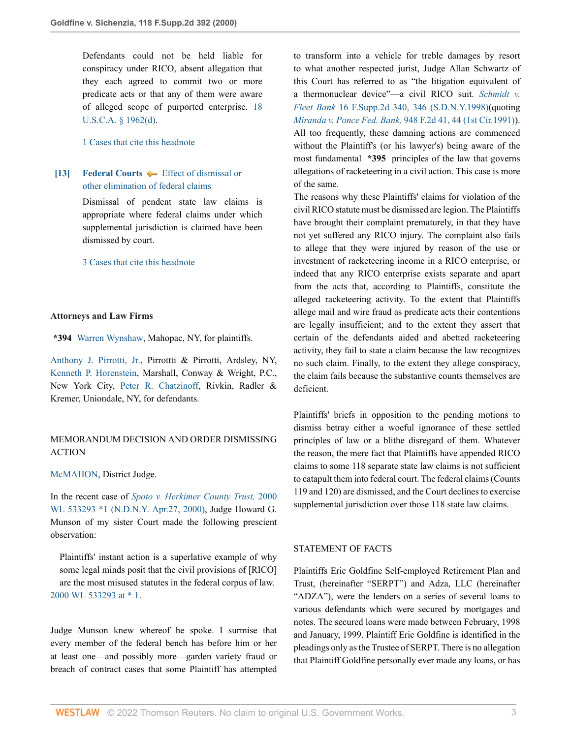Defendants could not be held liable for conspiracy under RICO, absent allegation that they each agreed to commit two or more predicate acts or that any of them were aware of alleged scope of purported enterprise. [18](http://www.westlaw.com/Link/Document/FullText?findType=L&pubNum=1000546&cite=18USCAS1962&originatingDoc=Ib2410cc053d411d9b17ee4cdc604a702&refType=RB&originationContext=document&vr=3.0&rs=cblt1.0&transitionType=DocumentItem&contextData=(sc.UserEnteredCitation)#co_pp_5ba1000067d06) [U.S.C.A. § 1962\(d\).](http://www.westlaw.com/Link/Document/FullText?findType=L&pubNum=1000546&cite=18USCAS1962&originatingDoc=Ib2410cc053d411d9b17ee4cdc604a702&refType=RB&originationContext=document&vr=3.0&rs=cblt1.0&transitionType=DocumentItem&contextData=(sc.UserEnteredCitation)#co_pp_5ba1000067d06)

[1 Cases that cite this headnote](http://www.westlaw.com/Link/RelatedInformation/DocHeadnoteLink?docGuid=Ib2410cc053d411d9b17ee4cdc604a702&headnoteId=200057129801220200709091537&originationContext=document&vr=3.0&rs=cblt1.0&transitionType=CitingReferences&contextData=(sc.UserEnteredCitation))

## <span id="page-2-0"></span>**[\[13\]](#page-12-1) [Federal Courts](http://www.westlaw.com/Browse/Home/KeyNumber/170B/View.html?docGuid=Ib2410cc053d411d9b17ee4cdc604a702&originationContext=document&vr=3.0&rs=cblt1.0&transitionType=DocumentItem&contextData=(sc.UserEnteredCitation))**  $\blacklozenge$  **[Effect of dismissal or](http://www.westlaw.com/Browse/Home/KeyNumber/170Bk2564/View.html?docGuid=Ib2410cc053d411d9b17ee4cdc604a702&originationContext=document&vr=3.0&rs=cblt1.0&transitionType=DocumentItem&contextData=(sc.UserEnteredCitation))** [other elimination of federal claims](http://www.westlaw.com/Browse/Home/KeyNumber/170Bk2564/View.html?docGuid=Ib2410cc053d411d9b17ee4cdc604a702&originationContext=document&vr=3.0&rs=cblt1.0&transitionType=DocumentItem&contextData=(sc.UserEnteredCitation))

Dismissal of pendent state law claims is appropriate where federal claims under which supplemental jurisdiction is claimed have been dismissed by court.

[3 Cases that cite this headnote](http://www.westlaw.com/Link/RelatedInformation/DocHeadnoteLink?docGuid=Ib2410cc053d411d9b17ee4cdc604a702&headnoteId=200057129801320200709091537&originationContext=document&vr=3.0&rs=cblt1.0&transitionType=CitingReferences&contextData=(sc.UserEnteredCitation))

#### **Attorneys and Law Firms**

**\*394** [Warren Wynshaw,](http://www.westlaw.com/Link/Document/FullText?findType=h&pubNum=176284&cite=0296443601&originatingDoc=Ib2410cc053d411d9b17ee4cdc604a702&refType=RQ&originationContext=document&vr=3.0&rs=cblt1.0&transitionType=DocumentItem&contextData=(sc.UserEnteredCitation)) Mahopac, NY, for plaintiffs.

[Anthony J. Pirrotti, Jr.](http://www.westlaw.com/Link/Document/FullText?findType=h&pubNum=176284&cite=0124172201&originatingDoc=Ib2410cc053d411d9b17ee4cdc604a702&refType=RQ&originationContext=document&vr=3.0&rs=cblt1.0&transitionType=DocumentItem&contextData=(sc.UserEnteredCitation)), Pirrottti & Pirrotti, Ardsley, NY, [Kenneth P. Horenstein,](http://www.westlaw.com/Link/Document/FullText?findType=h&pubNum=176284&cite=0317933801&originatingDoc=Ib2410cc053d411d9b17ee4cdc604a702&refType=RQ&originationContext=document&vr=3.0&rs=cblt1.0&transitionType=DocumentItem&contextData=(sc.UserEnteredCitation)) Marshall, Conway & Wright, P.C., New York City, [Peter R. Chatzinoff,](http://www.westlaw.com/Link/Document/FullText?findType=h&pubNum=176284&cite=0120877601&originatingDoc=Ib2410cc053d411d9b17ee4cdc604a702&refType=RQ&originationContext=document&vr=3.0&rs=cblt1.0&transitionType=DocumentItem&contextData=(sc.UserEnteredCitation)) Rivkin, Radler & Kremer, Uniondale, NY, for defendants.

### MEMORANDUM DECISION AND ORDER DISMISSING ACTION

#### [McMAHON](http://www.westlaw.com/Link/Document/FullText?findType=h&pubNum=176284&cite=0281535101&originatingDoc=Ib2410cc053d411d9b17ee4cdc604a702&refType=RQ&originationContext=document&vr=3.0&rs=cblt1.0&transitionType=DocumentItem&contextData=(sc.UserEnteredCitation)), District Judge.

In the recent case of *[Spoto v. Herkimer County Trust,](http://www.westlaw.com/Link/Document/FullText?findType=Y&serNum=2000301749&pubNum=0000999&originatingDoc=Ib2410cc053d411d9b17ee4cdc604a702&refType=RP&originationContext=document&vr=3.0&rs=cblt1.0&transitionType=DocumentItem&contextData=(sc.UserEnteredCitation))* 2000 [WL 533293 \\*1 \(N.D.N.Y. Apr.27, 2000\),](http://www.westlaw.com/Link/Document/FullText?findType=Y&serNum=2000301749&pubNum=0000999&originatingDoc=Ib2410cc053d411d9b17ee4cdc604a702&refType=RP&originationContext=document&vr=3.0&rs=cblt1.0&transitionType=DocumentItem&contextData=(sc.UserEnteredCitation)) Judge Howard G. Munson of my sister Court made the following prescient observation:

Plaintiffs' instant action is a superlative example of why some legal minds posit that the civil provisions of [RICO] are the most misused statutes in the federal corpus of law. [2000 WL 533293 at \\* 1](http://www.westlaw.com/Link/Document/FullText?findType=Y&serNum=2000301749&pubNum=0000999&originatingDoc=Ib2410cc053d411d9b17ee4cdc604a702&refType=RP&originationContext=document&vr=3.0&rs=cblt1.0&transitionType=DocumentItem&contextData=(sc.UserEnteredCitation)).

Judge Munson knew whereof he spoke. I surmise that every member of the federal bench has before him or her at least one—and possibly more—garden variety fraud or breach of contract cases that some Plaintiff has attempted

to transform into a vehicle for treble damages by resort to what another respected jurist, Judge Allan Schwartz of this Court has referred to as "the litigation equivalent of a thermonuclear device"—a civil RICO suit. *[Schmidt v.](http://www.westlaw.com/Link/Document/FullText?findType=Y&serNum=1998167142&pubNum=0004637&originatingDoc=Ib2410cc053d411d9b17ee4cdc604a702&refType=RP&fi=co_pp_sp_4637_346&originationContext=document&vr=3.0&rs=cblt1.0&transitionType=DocumentItem&contextData=(sc.UserEnteredCitation)#co_pp_sp_4637_346) Fleet Bank* [16 F.Supp.2d 340, 346 \(S.D.N.Y.1998\)](http://www.westlaw.com/Link/Document/FullText?findType=Y&serNum=1998167142&pubNum=0004637&originatingDoc=Ib2410cc053d411d9b17ee4cdc604a702&refType=RP&fi=co_pp_sp_4637_346&originationContext=document&vr=3.0&rs=cblt1.0&transitionType=DocumentItem&contextData=(sc.UserEnteredCitation)#co_pp_sp_4637_346)(quoting *Miranda v. Ponce Fed. Bank,* [948 F.2d 41, 44 \(1st Cir.1991\)](http://www.westlaw.com/Link/Document/FullText?findType=Y&serNum=1991177667&pubNum=0000350&originatingDoc=Ib2410cc053d411d9b17ee4cdc604a702&refType=RP&fi=co_pp_sp_350_44&originationContext=document&vr=3.0&rs=cblt1.0&transitionType=DocumentItem&contextData=(sc.UserEnteredCitation)#co_pp_sp_350_44)). All too frequently, these damning actions are commenced without the Plaintiff's (or his lawyer's) being aware of the most fundamental **\*395** principles of the law that governs allegations of racketeering in a civil action. This case is more of the same.

The reasons why these Plaintiffs' claims for violation of the civil RICO statute must be dismissed are legion. The Plaintiffs have brought their complaint prematurely, in that they have not yet suffered any RICO injury. The complaint also fails to allege that they were injured by reason of the use or investment of racketeering income in a RICO enterprise, or indeed that any RICO enterprise exists separate and apart from the acts that, according to Plaintiffs, constitute the alleged racketeering activity. To the extent that Plaintiffs allege mail and wire fraud as predicate acts their contentions are legally insufficient; and to the extent they assert that certain of the defendants aided and abetted racketeering activity, they fail to state a claim because the law recognizes no such claim. Finally, to the extent they allege conspiracy, the claim fails because the substantive counts themselves are deficient.

Plaintiffs' briefs in opposition to the pending motions to dismiss betray either a woeful ignorance of these settled principles of law or a blithe disregard of them. Whatever the reason, the mere fact that Plaintiffs have appended RICO claims to some 118 separate state law claims is not sufficient to catapult them into federal court. The federal claims (Counts 119 and 120) are dismissed, and the Court declines to exercise supplemental jurisdiction over those 118 state law claims.

### STATEMENT OF FACTS

Plaintiffs Eric Goldfine Self-employed Retirement Plan and Trust, (hereinafter "SERPT") and Adza, LLC (hereinafter "ADZA"), were the lenders on a series of several loans to various defendants which were secured by mortgages and notes. The secured loans were made between February, 1998 and January, 1999. Plaintiff Eric Goldfine is identified in the pleadings only as the Trustee of SERPT. There is no allegation that Plaintiff Goldfine personally ever made any loans, or has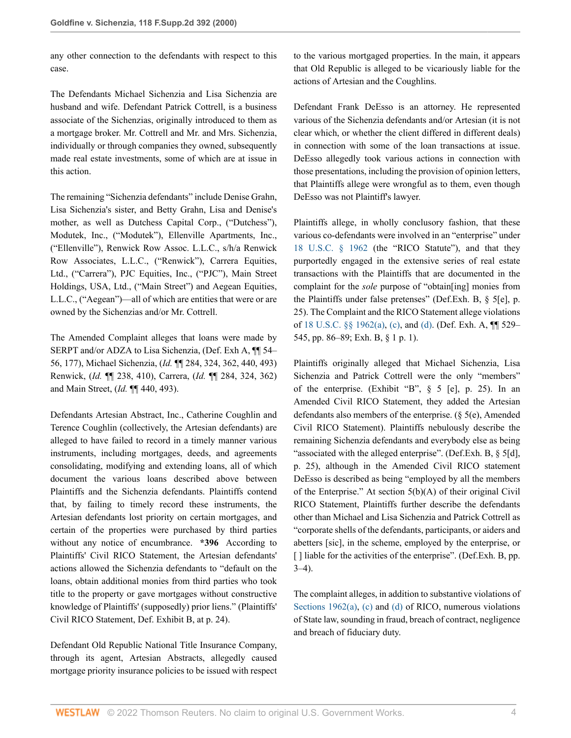any other connection to the defendants with respect to this case.

The Defendants Michael Sichenzia and Lisa Sichenzia are husband and wife. Defendant Patrick Cottrell, is a business associate of the Sichenzias, originally introduced to them as a mortgage broker. Mr. Cottrell and Mr. and Mrs. Sichenzia, individually or through companies they owned, subsequently made real estate investments, some of which are at issue in this action.

The remaining "Sichenzia defendants" include Denise Grahn, Lisa Sichenzia's sister, and Betty Grahn, Lisa and Denise's mother, as well as Dutchess Capital Corp., ("Dutchess"), Modutek, Inc., ("Modutek"), Ellenville Apartments, Inc., ("Ellenville"), Renwick Row Assoc. L.L.C., s/h/a Renwick Row Associates, L.L.C., ("Renwick"), Carrera Equities, Ltd., ("Carrera"), PJC Equities, Inc., ("PJC"), Main Street Holdings, USA, Ltd., ("Main Street") and Aegean Equities, L.L.C., ("Aegean")—all of which are entities that were or are owned by the Sichenzias and/or Mr. Cottrell.

The Amended Complaint alleges that loans were made by SERPT and/or ADZA to Lisa Sichenzia, (Def. Exh A, ¶¶ 54– 56, 177), Michael Sichenzia, (*Id.* ¶¶ 284, 324, 362, 440, 493) Renwick, (*Id.* ¶¶ 238, 410), Carrera, (*Id.* ¶¶ 284, 324, 362) and Main Street, (*Id.* ¶¶ 440, 493).

Defendants Artesian Abstract, Inc., Catherine Coughlin and Terence Coughlin (collectively, the Artesian defendants) are alleged to have failed to record in a timely manner various instruments, including mortgages, deeds, and agreements consolidating, modifying and extending loans, all of which document the various loans described above between Plaintiffs and the Sichenzia defendants. Plaintiffs contend that, by failing to timely record these instruments, the Artesian defendants lost priority on certain mortgages, and certain of the properties were purchased by third parties without any notice of encumbrance. **\*396** According to Plaintiffs' Civil RICO Statement, the Artesian defendants' actions allowed the Sichenzia defendants to "default on the loans, obtain additional monies from third parties who took title to the property or gave mortgages without constructive knowledge of Plaintiffs' (supposedly) prior liens." (Plaintiffs' Civil RICO Statement, Def. Exhibit B, at p. 24).

Defendant Old Republic National Title Insurance Company, through its agent, Artesian Abstracts, allegedly caused mortgage priority insurance policies to be issued with respect to the various mortgaged properties. In the main, it appears that Old Republic is alleged to be vicariously liable for the actions of Artesian and the Coughlins.

Defendant Frank DeEsso is an attorney. He represented various of the Sichenzia defendants and/or Artesian (it is not clear which, or whether the client differed in different deals) in connection with some of the loan transactions at issue. DeEsso allegedly took various actions in connection with those presentations, including the provision of opinion letters, that Plaintiffs allege were wrongful as to them, even though DeEsso was not Plaintiff's lawyer.

Plaintiffs allege, in wholly conclusory fashion, that these various co-defendants were involved in an "enterprise" under [18 U.S.C. § 1962](http://www.westlaw.com/Link/Document/FullText?findType=L&pubNum=1000546&cite=18USCAS1962&originatingDoc=Ib2410cc053d411d9b17ee4cdc604a702&refType=LQ&originationContext=document&vr=3.0&rs=cblt1.0&transitionType=DocumentItem&contextData=(sc.UserEnteredCitation)) (the "RICO Statute"), and that they purportedly engaged in the extensive series of real estate transactions with the Plaintiffs that are documented in the complaint for the *sole* purpose of "obtain[ing] monies from the Plaintiffs under false pretenses" (Def.Exh. B, § 5[e], p. 25). The Complaint and the RICO Statement allege violations of [18 U.S.C. §§ 1962\(a\),](http://www.westlaw.com/Link/Document/FullText?findType=L&pubNum=1000546&cite=18USCAS1962&originatingDoc=Ib2410cc053d411d9b17ee4cdc604a702&refType=RB&originationContext=document&vr=3.0&rs=cblt1.0&transitionType=DocumentItem&contextData=(sc.UserEnteredCitation)#co_pp_8b3b0000958a4) [\(c\)](http://www.westlaw.com/Link/Document/FullText?findType=L&pubNum=1000546&cite=18USCAS1962&originatingDoc=Ib2410cc053d411d9b17ee4cdc604a702&refType=RB&originationContext=document&vr=3.0&rs=cblt1.0&transitionType=DocumentItem&contextData=(sc.UserEnteredCitation)#co_pp_4b24000003ba5), and [\(d\)](http://www.westlaw.com/Link/Document/FullText?findType=L&pubNum=1000546&cite=18USCAS1962&originatingDoc=Ib2410cc053d411d9b17ee4cdc604a702&refType=RB&originationContext=document&vr=3.0&rs=cblt1.0&transitionType=DocumentItem&contextData=(sc.UserEnteredCitation)#co_pp_5ba1000067d06). (Def. Exh. A, ¶¶ 529– 545, pp. 86–89; Exh. B, § 1 p. 1).

Plaintiffs originally alleged that Michael Sichenzia, Lisa Sichenzia and Patrick Cottrell were the only "members" of the enterprise. (Exhibit "B", § 5 [e], p. 25). In an Amended Civil RICO Statement, they added the Artesian defendants also members of the enterprise. (§ 5(e), Amended Civil RICO Statement). Plaintiffs nebulously describe the remaining Sichenzia defendants and everybody else as being "associated with the alleged enterprise". (Def.Exh. B, § 5[d], p. 25), although in the Amended Civil RICO statement DeEsso is described as being "employed by all the members of the Enterprise." At section 5(b)(A) of their original Civil RICO Statement, Plaintiffs further describe the defendants other than Michael and Lisa Sichenzia and Patrick Cottrell as "corporate shells of the defendants, participants, or aiders and abetters [sic], in the scheme, employed by the enterprise, or [] liable for the activities of the enterprise". (Def.Exh. B, pp.  $3-4$ ).

The complaint alleges, in addition to substantive violations of [Sections 1962\(a\)](http://www.westlaw.com/Link/Document/FullText?findType=L&pubNum=1000546&cite=18USCAS1962&originatingDoc=Ib2410cc053d411d9b17ee4cdc604a702&refType=RB&originationContext=document&vr=3.0&rs=cblt1.0&transitionType=DocumentItem&contextData=(sc.UserEnteredCitation)#co_pp_8b3b0000958a4), [\(c\)](http://www.westlaw.com/Link/Document/FullText?findType=L&pubNum=1000546&cite=18USCAS1962&originatingDoc=Ib2410cc053d411d9b17ee4cdc604a702&refType=RB&originationContext=document&vr=3.0&rs=cblt1.0&transitionType=DocumentItem&contextData=(sc.UserEnteredCitation)#co_pp_4b24000003ba5) and [\(d\)](http://www.westlaw.com/Link/Document/FullText?findType=L&pubNum=1000546&cite=18USCAS1962&originatingDoc=Ib2410cc053d411d9b17ee4cdc604a702&refType=RB&originationContext=document&vr=3.0&rs=cblt1.0&transitionType=DocumentItem&contextData=(sc.UserEnteredCitation)#co_pp_5ba1000067d06) of RICO, numerous violations of State law, sounding in fraud, breach of contract, negligence and breach of fiduciary duty.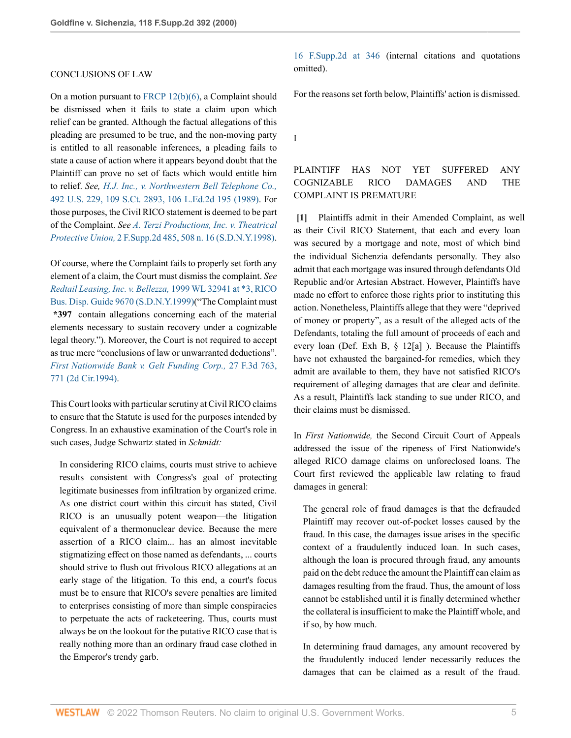#### CONCLUSIONS OF LAW

On a motion pursuant to [FRCP 12\(b\)\(6\),](http://www.westlaw.com/Link/Document/FullText?findType=L&pubNum=1000600&cite=USFRCPR12&originatingDoc=Ib2410cc053d411d9b17ee4cdc604a702&refType=RB&originationContext=document&vr=3.0&rs=cblt1.0&transitionType=DocumentItem&contextData=(sc.UserEnteredCitation)#co_pp_61d20000b6d76) a Complaint should be dismissed when it fails to state a claim upon which relief can be granted. Although the factual allegations of this pleading are presumed to be true, and the non-moving party is entitled to all reasonable inferences, a pleading fails to state a cause of action where it appears beyond doubt that the Plaintiff can prove no set of facts which would entitle him to relief. *See, [H.J. Inc., v. Northwestern Bell Telephone Co.,](http://www.westlaw.com/Link/Document/FullText?findType=Y&serNum=1989094478&pubNum=0000708&originatingDoc=Ib2410cc053d411d9b17ee4cdc604a702&refType=RP&originationContext=document&vr=3.0&rs=cblt1.0&transitionType=DocumentItem&contextData=(sc.UserEnteredCitation))* [492 U.S. 229, 109 S.Ct. 2893, 106 L.Ed.2d 195 \(1989\).](http://www.westlaw.com/Link/Document/FullText?findType=Y&serNum=1989094478&pubNum=0000708&originatingDoc=Ib2410cc053d411d9b17ee4cdc604a702&refType=RP&originationContext=document&vr=3.0&rs=cblt1.0&transitionType=DocumentItem&contextData=(sc.UserEnteredCitation)) For those purposes, the Civil RICO statement is deemed to be part of the Complaint. *See [A. Terzi Productions, Inc. v. Theatrical](http://www.westlaw.com/Link/Document/FullText?findType=Y&serNum=1998093680&pubNum=0004637&originatingDoc=Ib2410cc053d411d9b17ee4cdc604a702&refType=RP&fi=co_pp_sp_4637_508&originationContext=document&vr=3.0&rs=cblt1.0&transitionType=DocumentItem&contextData=(sc.UserEnteredCitation)#co_pp_sp_4637_508) Protective Union,* [2 F.Supp.2d 485, 508 n. 16 \(S.D.N.Y.1998\)](http://www.westlaw.com/Link/Document/FullText?findType=Y&serNum=1998093680&pubNum=0004637&originatingDoc=Ib2410cc053d411d9b17ee4cdc604a702&refType=RP&fi=co_pp_sp_4637_508&originationContext=document&vr=3.0&rs=cblt1.0&transitionType=DocumentItem&contextData=(sc.UserEnteredCitation)#co_pp_sp_4637_508).

Of course, where the Complaint fails to properly set forth any element of a claim, the Court must dismiss the complaint. *See [Redtail Leasing, Inc. v. Bellezza,](http://www.westlaw.com/Link/Document/FullText?findType=Y&serNum=1999039124&pubNum=0000999&originatingDoc=Ib2410cc053d411d9b17ee4cdc604a702&refType=RP&originationContext=document&vr=3.0&rs=cblt1.0&transitionType=DocumentItem&contextData=(sc.UserEnteredCitation))* 1999 WL 32941 at \*3, RICO [Bus. Disp. Guide 9670 \(S.D.N.Y.1999\)](http://www.westlaw.com/Link/Document/FullText?findType=Y&serNum=1999039124&pubNum=0000999&originatingDoc=Ib2410cc053d411d9b17ee4cdc604a702&refType=RP&originationContext=document&vr=3.0&rs=cblt1.0&transitionType=DocumentItem&contextData=(sc.UserEnteredCitation))("The Complaint must **\*397** contain allegations concerning each of the material elements necessary to sustain recovery under a cognizable legal theory."). Moreover, the Court is not required to accept as true mere "conclusions of law or unwarranted deductions". *[First Nationwide Bank v. Gelt Funding Corp.,](http://www.westlaw.com/Link/Document/FullText?findType=Y&serNum=1994126640&pubNum=0000506&originatingDoc=Ib2410cc053d411d9b17ee4cdc604a702&refType=RP&fi=co_pp_sp_506_771&originationContext=document&vr=3.0&rs=cblt1.0&transitionType=DocumentItem&contextData=(sc.UserEnteredCitation)#co_pp_sp_506_771)* 27 F.3d 763, [771 \(2d Cir.1994\)](http://www.westlaw.com/Link/Document/FullText?findType=Y&serNum=1994126640&pubNum=0000506&originatingDoc=Ib2410cc053d411d9b17ee4cdc604a702&refType=RP&fi=co_pp_sp_506_771&originationContext=document&vr=3.0&rs=cblt1.0&transitionType=DocumentItem&contextData=(sc.UserEnteredCitation)#co_pp_sp_506_771).

This Court looks with particular scrutiny at Civil RICO claims to ensure that the Statute is used for the purposes intended by Congress. In an exhaustive examination of the Court's role in such cases, Judge Schwartz stated in *Schmidt:*

In considering RICO claims, courts must strive to achieve results consistent with Congress's goal of protecting legitimate businesses from infiltration by organized crime. As one district court within this circuit has stated, Civil RICO is an unusually potent weapon—the litigation equivalent of a thermonuclear device. Because the mere assertion of a RICO claim... has an almost inevitable stigmatizing effect on those named as defendants, ... courts should strive to flush out frivolous RICO allegations at an early stage of the litigation. To this end, a court's focus must be to ensure that RICO's severe penalties are limited to enterprises consisting of more than simple conspiracies to perpetuate the acts of racketeering. Thus, courts must always be on the lookout for the putative RICO case that is really nothing more than an ordinary fraud case clothed in the Emperor's trendy garb.

[16 F.Supp.2d at 346](http://www.westlaw.com/Link/Document/FullText?findType=Y&serNum=1998167142&pubNum=0004637&originatingDoc=Ib2410cc053d411d9b17ee4cdc604a702&refType=RP&fi=co_pp_sp_4637_346&originationContext=document&vr=3.0&rs=cblt1.0&transitionType=DocumentItem&contextData=(sc.UserEnteredCitation)#co_pp_sp_4637_346) (internal citations and quotations omitted).

For the reasons set forth below, Plaintiffs' action is dismissed.

I

## PLAINTIFF HAS NOT YET SUFFERED ANY COGNIZABLE RICO DAMAGES AND THE COMPLAINT IS PREMATURE

<span id="page-4-0"></span>**[\[1\]](#page-0-0)** Plaintiffs admit in their Amended Complaint, as well as their Civil RICO Statement, that each and every loan was secured by a mortgage and note, most of which bind the individual Sichenzia defendants personally. They also admit that each mortgage was insured through defendants Old Republic and/or Artesian Abstract. However, Plaintiffs have made no effort to enforce those rights prior to instituting this action. Nonetheless, Plaintiffs allege that they were "deprived of money or property", as a result of the alleged acts of the Defendants, totaling the full amount of proceeds of each and every loan (Def. Exh B, § 12[a] ). Because the Plaintiffs have not exhausted the bargained-for remedies, which they admit are available to them, they have not satisfied RICO's requirement of alleging damages that are clear and definite. As a result, Plaintiffs lack standing to sue under RICO, and their claims must be dismissed.

In *First Nationwide,* the Second Circuit Court of Appeals addressed the issue of the ripeness of First Nationwide's alleged RICO damage claims on unforeclosed loans. The Court first reviewed the applicable law relating to fraud damages in general:

The general role of fraud damages is that the defrauded Plaintiff may recover out-of-pocket losses caused by the fraud. In this case, the damages issue arises in the specific context of a fraudulently induced loan. In such cases, although the loan is procured through fraud, any amounts paid on the debt reduce the amount the Plaintiff can claim as damages resulting from the fraud. Thus, the amount of loss cannot be established until it is finally determined whether the collateral is insufficient to make the Plaintiff whole, and if so, by how much.

In determining fraud damages, any amount recovered by the fraudulently induced lender necessarily reduces the damages that can be claimed as a result of the fraud.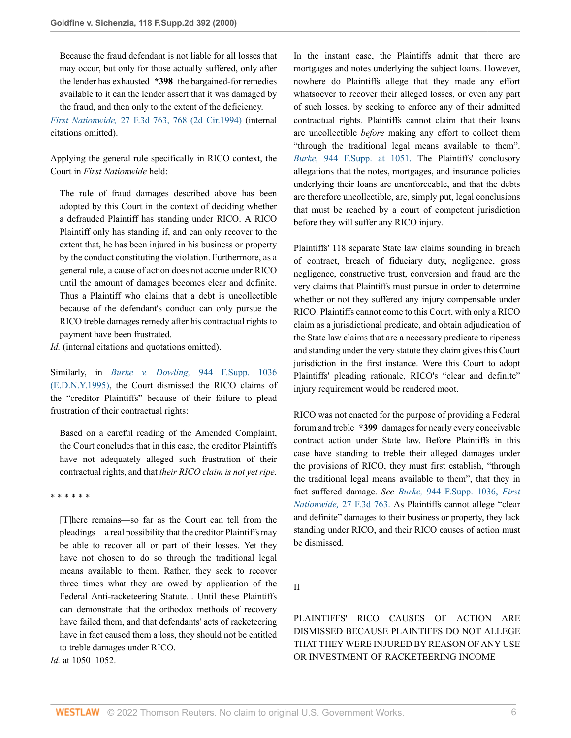Because the fraud defendant is not liable for all losses that may occur, but only for those actually suffered, only after the lender has exhausted **\*398** the bargained-for remedies available to it can the lender assert that it was damaged by the fraud, and then only to the extent of the deficiency.

*First Nationwide,* [27 F.3d 763, 768 \(2d Cir.1994\)](http://www.westlaw.com/Link/Document/FullText?findType=Y&serNum=1994126640&pubNum=0000506&originatingDoc=Ib2410cc053d411d9b17ee4cdc604a702&refType=RP&fi=co_pp_sp_506_768&originationContext=document&vr=3.0&rs=cblt1.0&transitionType=DocumentItem&contextData=(sc.UserEnteredCitation)#co_pp_sp_506_768) (internal citations omitted).

Applying the general rule specifically in RICO context, the Court in *First Nationwide* held:

The rule of fraud damages described above has been adopted by this Court in the context of deciding whether a defrauded Plaintiff has standing under RICO. A RICO Plaintiff only has standing if, and can only recover to the extent that, he has been injured in his business or property by the conduct constituting the violation. Furthermore, as a general rule, a cause of action does not accrue under RICO until the amount of damages becomes clear and definite. Thus a Plaintiff who claims that a debt is uncollectible because of the defendant's conduct can only pursue the RICO treble damages remedy after his contractual rights to payment have been frustrated.

*Id.* (internal citations and quotations omitted).

Similarly, in *Burke v. Dowling,* [944 F.Supp. 1036](http://www.westlaw.com/Link/Document/FullText?findType=Y&serNum=1996239855&pubNum=0000345&originatingDoc=Ib2410cc053d411d9b17ee4cdc604a702&refType=RP&originationContext=document&vr=3.0&rs=cblt1.0&transitionType=DocumentItem&contextData=(sc.UserEnteredCitation)) [\(E.D.N.Y.1995\)](http://www.westlaw.com/Link/Document/FullText?findType=Y&serNum=1996239855&pubNum=0000345&originatingDoc=Ib2410cc053d411d9b17ee4cdc604a702&refType=RP&originationContext=document&vr=3.0&rs=cblt1.0&transitionType=DocumentItem&contextData=(sc.UserEnteredCitation)), the Court dismissed the RICO claims of the "creditor Plaintiffs" because of their failure to plead frustration of their contractual rights:

Based on a careful reading of the Amended Complaint, the Court concludes that in this case, the creditor Plaintiffs have not adequately alleged such frustration of their contractual rights, and that *their RICO claim is not yet ripe.*

\* \* \* \* \* \*

[T]here remains—so far as the Court can tell from the pleadings—a real possibility that the creditor Plaintiffs may be able to recover all or part of their losses. Yet they have not chosen to do so through the traditional legal means available to them. Rather, they seek to recover three times what they are owed by application of the Federal Anti-racketeering Statute... Until these Plaintiffs can demonstrate that the orthodox methods of recovery have failed them, and that defendants' acts of racketeering have in fact caused them a loss, they should not be entitled to treble damages under RICO.

*Id.* at 1050–1052.

In the instant case, the Plaintiffs admit that there are mortgages and notes underlying the subject loans. However, nowhere do Plaintiffs allege that they made any effort whatsoever to recover their alleged losses, or even any part of such losses, by seeking to enforce any of their admitted contractual rights. Plaintiffs cannot claim that their loans are uncollectible *before* making any effort to collect them "through the traditional legal means available to them". *Burke,* [944 F.Supp. at 1051.](http://www.westlaw.com/Link/Document/FullText?findType=Y&serNum=1996239855&pubNum=345&originatingDoc=Ib2410cc053d411d9b17ee4cdc604a702&refType=RP&fi=co_pp_sp_345_1051&originationContext=document&vr=3.0&rs=cblt1.0&transitionType=DocumentItem&contextData=(sc.UserEnteredCitation)#co_pp_sp_345_1051) The Plaintiffs' conclusory allegations that the notes, mortgages, and insurance policies underlying their loans are unenforceable, and that the debts are therefore uncollectible, are, simply put, legal conclusions that must be reached by a court of competent jurisdiction before they will suffer any RICO injury.

Plaintiffs' 118 separate State law claims sounding in breach of contract, breach of fiduciary duty, negligence, gross negligence, constructive trust, conversion and fraud are the very claims that Plaintiffs must pursue in order to determine whether or not they suffered any injury compensable under RICO. Plaintiffs cannot come to this Court, with only a RICO claim as a jurisdictional predicate, and obtain adjudication of the State law claims that are a necessary predicate to ripeness and standing under the very statute they claim gives this Court jurisdiction in the first instance. Were this Court to adopt Plaintiffs' pleading rationale, RICO's "clear and definite" injury requirement would be rendered moot.

RICO was not enacted for the purpose of providing a Federal forum and treble **\*399** damages for nearly every conceivable contract action under State law. Before Plaintiffs in this case have standing to treble their alleged damages under the provisions of RICO, they must first establish, "through the traditional legal means available to them", that they in fact suffered damage. *See Burke,* [944 F.Supp. 1036,](http://www.westlaw.com/Link/Document/FullText?findType=Y&serNum=1996239855&pubNum=345&originatingDoc=Ib2410cc053d411d9b17ee4cdc604a702&refType=RP&originationContext=document&vr=3.0&rs=cblt1.0&transitionType=DocumentItem&contextData=(sc.UserEnteredCitation)) *[First](http://www.westlaw.com/Link/Document/FullText?findType=Y&serNum=1994126640&pubNum=506&originatingDoc=Ib2410cc053d411d9b17ee4cdc604a702&refType=RP&originationContext=document&vr=3.0&rs=cblt1.0&transitionType=DocumentItem&contextData=(sc.UserEnteredCitation)) Nationwide,* [27 F.3d 763.](http://www.westlaw.com/Link/Document/FullText?findType=Y&serNum=1994126640&pubNum=506&originatingDoc=Ib2410cc053d411d9b17ee4cdc604a702&refType=RP&originationContext=document&vr=3.0&rs=cblt1.0&transitionType=DocumentItem&contextData=(sc.UserEnteredCitation)) As Plaintiffs cannot allege "clear and definite" damages to their business or property, they lack standing under RICO, and their RICO causes of action must be dismissed.

II

PLAINTIFFS' RICO CAUSES OF ACTION ARE DISMISSED BECAUSE PLAINTIFFS DO NOT ALLEGE THAT THEY WERE INJURED BY REASON OF ANY USE OR INVESTMENT OF RACKETEERING INCOME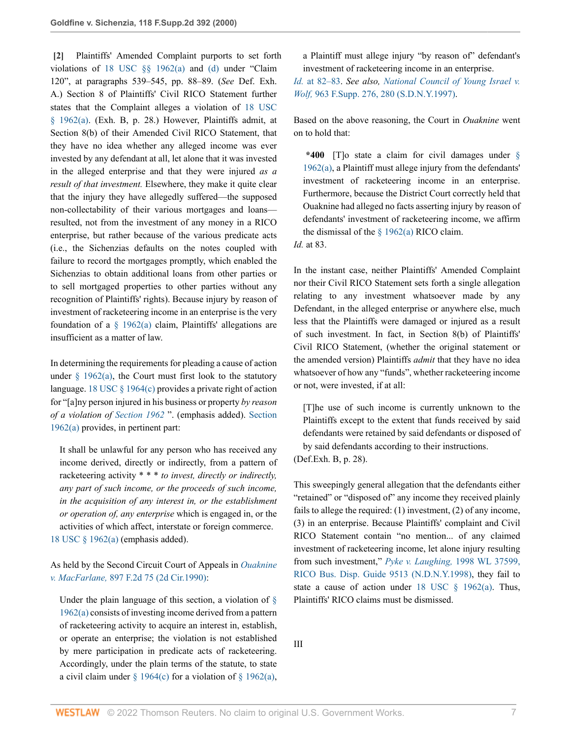<span id="page-6-0"></span>**[\[2\]](#page-0-1)** Plaintiffs' Amended Complaint purports to set forth violations of [18 USC §§ 1962\(a\)](http://www.westlaw.com/Link/Document/FullText?findType=L&pubNum=1000546&cite=18USCAS1962&originatingDoc=Ib2410cc053d411d9b17ee4cdc604a702&refType=RB&originationContext=document&vr=3.0&rs=cblt1.0&transitionType=DocumentItem&contextData=(sc.UserEnteredCitation)#co_pp_8b3b0000958a4) and [\(d\)](http://www.westlaw.com/Link/Document/FullText?findType=L&pubNum=1000546&cite=18USCAS1962&originatingDoc=Ib2410cc053d411d9b17ee4cdc604a702&refType=RB&originationContext=document&vr=3.0&rs=cblt1.0&transitionType=DocumentItem&contextData=(sc.UserEnteredCitation)#co_pp_5ba1000067d06) under "Claim 120", at paragraphs 539–545, pp. 88–89. (*See* Def. Exh. A.) Section 8 of Plaintiffs' Civil RICO Statement further states that the Complaint alleges a violation of [18 USC](http://www.westlaw.com/Link/Document/FullText?findType=L&pubNum=1000546&cite=18USCAS1962&originatingDoc=Ib2410cc053d411d9b17ee4cdc604a702&refType=RB&originationContext=document&vr=3.0&rs=cblt1.0&transitionType=DocumentItem&contextData=(sc.UserEnteredCitation)#co_pp_8b3b0000958a4) [§ 1962\(a\).](http://www.westlaw.com/Link/Document/FullText?findType=L&pubNum=1000546&cite=18USCAS1962&originatingDoc=Ib2410cc053d411d9b17ee4cdc604a702&refType=RB&originationContext=document&vr=3.0&rs=cblt1.0&transitionType=DocumentItem&contextData=(sc.UserEnteredCitation)#co_pp_8b3b0000958a4) (Exh. B, p. 28.) However, Plaintiffs admit, at Section 8(b) of their Amended Civil RICO Statement, that they have no idea whether any alleged income was ever invested by any defendant at all, let alone that it was invested in the alleged enterprise and that they were injured *as a result of that investment.* Elsewhere, they make it quite clear that the injury they have allegedly suffered—the supposed non-collectability of their various mortgages and loans resulted, not from the investment of any money in a RICO enterprise, but rather because of the various predicate acts (i.e., the Sichenzias defaults on the notes coupled with failure to record the mortgages promptly, which enabled the Sichenzias to obtain additional loans from other parties or to sell mortgaged properties to other parties without any recognition of Plaintiffs' rights). Because injury by reason of investment of racketeering income in an enterprise is the very foundation of a  $\S$  1962(a) claim, Plaintiffs' allegations are insufficient as a matter of law.

In determining the requirements for pleading a cause of action under  $\S$  1962(a), the Court must first look to the statutory language. [18 USC § 1964\(c\)](http://www.westlaw.com/Link/Document/FullText?findType=L&pubNum=1000546&cite=18USCAS1964&originatingDoc=Ib2410cc053d411d9b17ee4cdc604a702&refType=RB&originationContext=document&vr=3.0&rs=cblt1.0&transitionType=DocumentItem&contextData=(sc.UserEnteredCitation)#co_pp_4b24000003ba5) provides a private right of action for "[a]ny person injured in his business or property *by reason of a violation of [Section 1962](http://www.westlaw.com/Link/Document/FullText?findType=L&pubNum=1000546&cite=18USCAS1962&originatingDoc=Ib2410cc053d411d9b17ee4cdc604a702&refType=LQ&originationContext=document&vr=3.0&rs=cblt1.0&transitionType=DocumentItem&contextData=(sc.UserEnteredCitation))* ". (emphasis added). [Section](http://www.westlaw.com/Link/Document/FullText?findType=L&pubNum=1000546&cite=18USCAS1962&originatingDoc=Ib2410cc053d411d9b17ee4cdc604a702&refType=RB&originationContext=document&vr=3.0&rs=cblt1.0&transitionType=DocumentItem&contextData=(sc.UserEnteredCitation)#co_pp_8b3b0000958a4) [1962\(a\)](http://www.westlaw.com/Link/Document/FullText?findType=L&pubNum=1000546&cite=18USCAS1962&originatingDoc=Ib2410cc053d411d9b17ee4cdc604a702&refType=RB&originationContext=document&vr=3.0&rs=cblt1.0&transitionType=DocumentItem&contextData=(sc.UserEnteredCitation)#co_pp_8b3b0000958a4) provides, in pertinent part:

It shall be unlawful for any person who has received any income derived, directly or indirectly, from a pattern of racketeering activity \* \* \* *to invest, directly or indirectly, any part of such income, or the proceeds of such income, in the acquisition of any interest in, or the establishment or operation of, any enterprise* which is engaged in, or the activities of which affect, interstate or foreign commerce. [18 USC § 1962\(a\)](http://www.westlaw.com/Link/Document/FullText?findType=L&pubNum=1000546&cite=18USCAS1962&originatingDoc=Ib2410cc053d411d9b17ee4cdc604a702&refType=RB&originationContext=document&vr=3.0&rs=cblt1.0&transitionType=DocumentItem&contextData=(sc.UserEnteredCitation)#co_pp_8b3b0000958a4) (emphasis added).

As held by the Second Circuit Court of Appeals in *[Ouaknine](http://www.westlaw.com/Link/Document/FullText?findType=Y&serNum=1990043389&pubNum=0000350&originatingDoc=Ib2410cc053d411d9b17ee4cdc604a702&refType=RP&originationContext=document&vr=3.0&rs=cblt1.0&transitionType=DocumentItem&contextData=(sc.UserEnteredCitation)) v. MacFarlane,* [897 F.2d 75 \(2d Cir.1990\)](http://www.westlaw.com/Link/Document/FullText?findType=Y&serNum=1990043389&pubNum=0000350&originatingDoc=Ib2410cc053d411d9b17ee4cdc604a702&refType=RP&originationContext=document&vr=3.0&rs=cblt1.0&transitionType=DocumentItem&contextData=(sc.UserEnteredCitation)):

Under the plain language of this section, a violation of  $\S$ [1962\(a\)](http://www.westlaw.com/Link/Document/FullText?findType=L&pubNum=1000546&cite=18USCAS1962&originatingDoc=Ib2410cc053d411d9b17ee4cdc604a702&refType=RB&originationContext=document&vr=3.0&rs=cblt1.0&transitionType=DocumentItem&contextData=(sc.UserEnteredCitation)#co_pp_8b3b0000958a4) consists of investing income derived from a pattern of racketeering activity to acquire an interest in, establish, or operate an enterprise; the violation is not established by mere participation in predicate acts of racketeering. Accordingly, under the plain terms of the statute, to state a civil claim under  $\S 1964(c)$  for a violation of  $\S 1962(a)$ , a Plaintiff must allege injury "by reason of" defendant's investment of racketeering income in an enterprise.

*Id.* [at 82–83](http://www.westlaw.com/Link/Document/FullText?findType=Y&serNum=1990043389&pubNum=0000350&originatingDoc=Ib2410cc053d411d9b17ee4cdc604a702&refType=RP&fi=co_pp_sp_350_82&originationContext=document&vr=3.0&rs=cblt1.0&transitionType=DocumentItem&contextData=(sc.UserEnteredCitation)#co_pp_sp_350_82). *See also, [National Council of Young Israel v.](http://www.westlaw.com/Link/Document/FullText?findType=Y&serNum=1997105259&pubNum=0000345&originatingDoc=Ib2410cc053d411d9b17ee4cdc604a702&refType=RP&fi=co_pp_sp_345_280&originationContext=document&vr=3.0&rs=cblt1.0&transitionType=DocumentItem&contextData=(sc.UserEnteredCitation)#co_pp_sp_345_280) Wolf,* [963 F.Supp. 276, 280 \(S.D.N.Y.1997\)](http://www.westlaw.com/Link/Document/FullText?findType=Y&serNum=1997105259&pubNum=0000345&originatingDoc=Ib2410cc053d411d9b17ee4cdc604a702&refType=RP&fi=co_pp_sp_345_280&originationContext=document&vr=3.0&rs=cblt1.0&transitionType=DocumentItem&contextData=(sc.UserEnteredCitation)#co_pp_sp_345_280).

Based on the above reasoning, the Court in *Ouaknine* went on to hold that:

**\*400** [T]o state a claim for civil damages under [§](http://www.westlaw.com/Link/Document/FullText?findType=L&pubNum=1000546&cite=18USCAS1962&originatingDoc=Ib2410cc053d411d9b17ee4cdc604a702&refType=RB&originationContext=document&vr=3.0&rs=cblt1.0&transitionType=DocumentItem&contextData=(sc.UserEnteredCitation)#co_pp_8b3b0000958a4) [1962\(a\)](http://www.westlaw.com/Link/Document/FullText?findType=L&pubNum=1000546&cite=18USCAS1962&originatingDoc=Ib2410cc053d411d9b17ee4cdc604a702&refType=RB&originationContext=document&vr=3.0&rs=cblt1.0&transitionType=DocumentItem&contextData=(sc.UserEnteredCitation)#co_pp_8b3b0000958a4), a Plaintiff must allege injury from the defendants' investment of racketeering income in an enterprise. Furthermore, because the District Court correctly held that Ouaknine had alleged no facts asserting injury by reason of defendants' investment of racketeering income, we affirm the dismissal of the  $\S$  1962(a) RICO claim.

*Id.* at 83.

In the instant case, neither Plaintiffs' Amended Complaint nor their Civil RICO Statement sets forth a single allegation relating to any investment whatsoever made by any Defendant, in the alleged enterprise or anywhere else, much less that the Plaintiffs were damaged or injured as a result of such investment. In fact, in Section 8(b) of Plaintiffs' Civil RICO Statement, (whether the original statement or the amended version) Plaintiffs *admit* that they have no idea whatsoever of how any "funds", whether racketeering income or not, were invested, if at all:

[T]he use of such income is currently unknown to the Plaintiffs except to the extent that funds received by said defendants were retained by said defendants or disposed of by said defendants according to their instructions. (Def.Exh. B, p. 28).

This sweepingly general allegation that the defendants either "retained" or "disposed of" any income they received plainly fails to allege the required: (1) investment, (2) of any income, (3) in an enterprise. Because Plaintiffs' complaint and Civil RICO Statement contain "no mention... of any claimed investment of racketeering income, let alone injury resulting from such investment," *[Pyke v. Laughing,](http://www.westlaw.com/Link/Document/FullText?findType=Y&serNum=1998044353&pubNum=0000999&originatingDoc=Ib2410cc053d411d9b17ee4cdc604a702&refType=RP&originationContext=document&vr=3.0&rs=cblt1.0&transitionType=DocumentItem&contextData=(sc.UserEnteredCitation))* 1998 WL 37599, [RICO Bus. Disp. Guide 9513 \(N.D.N.Y.1998\),](http://www.westlaw.com/Link/Document/FullText?findType=Y&serNum=1998044353&pubNum=0000999&originatingDoc=Ib2410cc053d411d9b17ee4cdc604a702&refType=RP&originationContext=document&vr=3.0&rs=cblt1.0&transitionType=DocumentItem&contextData=(sc.UserEnteredCitation)) they fail to state a cause of action under 18 USC  $\S$  1962(a). Thus,

Plaintiffs' RICO claims must be dismissed.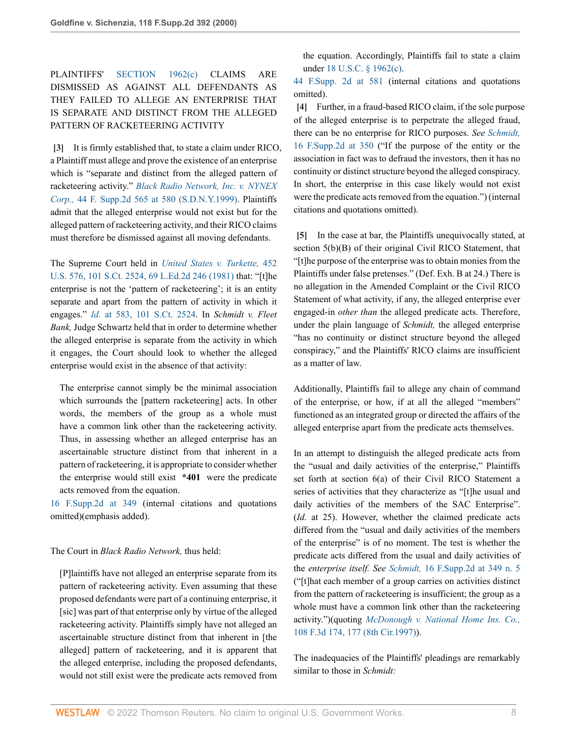PLAINTIFFS' [SECTION 1962\(c\)](http://www.westlaw.com/Link/Document/FullText?findType=L&pubNum=1000546&cite=18USCAS1962&originatingDoc=Ib2410cc053d411d9b17ee4cdc604a702&refType=RB&originationContext=document&vr=3.0&rs=cblt1.0&transitionType=DocumentItem&contextData=(sc.UserEnteredCitation)#co_pp_4b24000003ba5) CLAIMS ARE DISMISSED AS AGAINST ALL DEFENDANTS AS THEY FAILED TO ALLEGE AN ENTERPRISE THAT IS SEPARATE AND DISTINCT FROM THE ALLEGED PATTERN OF RACKETEERING ACTIVITY

<span id="page-7-0"></span>**[\[3\]](#page-0-2)** It is firmly established that, to state a claim under RICO, a Plaintiff must allege and prove the existence of an enterprise which is "separate and distinct from the alleged pattern of racketeering activity." *[Black Radio Network, Inc. v. NYNEX](http://www.westlaw.com/Link/Document/FullText?findType=Y&serNum=1999102010&pubNum=0004637&originatingDoc=Ib2410cc053d411d9b17ee4cdc604a702&refType=RP&fi=co_pp_sp_4637_580&originationContext=document&vr=3.0&rs=cblt1.0&transitionType=DocumentItem&contextData=(sc.UserEnteredCitation)#co_pp_sp_4637_580) Corp.,* [44 F. Supp.2d 565 at 580 \(S.D.N.Y.1999\).](http://www.westlaw.com/Link/Document/FullText?findType=Y&serNum=1999102010&pubNum=0004637&originatingDoc=Ib2410cc053d411d9b17ee4cdc604a702&refType=RP&fi=co_pp_sp_4637_580&originationContext=document&vr=3.0&rs=cblt1.0&transitionType=DocumentItem&contextData=(sc.UserEnteredCitation)#co_pp_sp_4637_580) Plaintiffs admit that the alleged enterprise would not exist but for the alleged pattern of racketeering activity, and their RICO claims must therefore be dismissed against all moving defendants.

The Supreme Court held in *[United States v. Turkette,](http://www.westlaw.com/Link/Document/FullText?findType=Y&serNum=1981126815&pubNum=0000708&originatingDoc=Ib2410cc053d411d9b17ee4cdc604a702&refType=RP&originationContext=document&vr=3.0&rs=cblt1.0&transitionType=DocumentItem&contextData=(sc.UserEnteredCitation))* 452 [U.S. 576, 101 S.Ct. 2524, 69 L.Ed.2d 246 \(1981\)](http://www.westlaw.com/Link/Document/FullText?findType=Y&serNum=1981126815&pubNum=0000708&originatingDoc=Ib2410cc053d411d9b17ee4cdc604a702&refType=RP&originationContext=document&vr=3.0&rs=cblt1.0&transitionType=DocumentItem&contextData=(sc.UserEnteredCitation)) that: "[t]he enterprise is not the 'pattern of racketeering'; it is an entity separate and apart from the pattern of activity in which it engages." *Id.* [at 583, 101 S.Ct. 2524.](http://www.westlaw.com/Link/Document/FullText?findType=Y&serNum=1981126815&pubNum=0000708&originatingDoc=Ib2410cc053d411d9b17ee4cdc604a702&refType=RP&originationContext=document&vr=3.0&rs=cblt1.0&transitionType=DocumentItem&contextData=(sc.UserEnteredCitation)) In *Schmidt v. Fleet Bank,* Judge Schwartz held that in order to determine whether the alleged enterprise is separate from the activity in which it engages, the Court should look to whether the alleged enterprise would exist in the absence of that activity:

The enterprise cannot simply be the minimal association which surrounds the [pattern racketeering] acts. In other words, the members of the group as a whole must have a common link other than the racketeering activity. Thus, in assessing whether an alleged enterprise has an ascertainable structure distinct from that inherent in a pattern of racketeering, it is appropriate to consider whether the enterprise would still exist **\*401** were the predicate acts removed from the equation.

[16 F.Supp.2d at 349](http://www.westlaw.com/Link/Document/FullText?findType=Y&serNum=1998167142&pubNum=0004637&originatingDoc=Ib2410cc053d411d9b17ee4cdc604a702&refType=RP&fi=co_pp_sp_4637_349&originationContext=document&vr=3.0&rs=cblt1.0&transitionType=DocumentItem&contextData=(sc.UserEnteredCitation)#co_pp_sp_4637_349) (internal citations and quotations omitted)(emphasis added).

### The Court in *Black Radio Network,* thus held:

[P]laintiffs have not alleged an enterprise separate from its pattern of racketeering activity. Even assuming that these proposed defendants were part of a continuing enterprise, it [sic] was part of that enterprise only by virtue of the alleged racketeering activity. Plaintiffs simply have not alleged an ascertainable structure distinct from that inherent in [the alleged] pattern of racketeering, and it is apparent that the alleged enterprise, including the proposed defendants, would not still exist were the predicate acts removed from

the equation. Accordingly, Plaintiffs fail to state a claim under [18 U.S.C. § 1962\(c\).](http://www.westlaw.com/Link/Document/FullText?findType=L&pubNum=1000546&cite=18USCAS1962&originatingDoc=Ib2410cc053d411d9b17ee4cdc604a702&refType=RB&originationContext=document&vr=3.0&rs=cblt1.0&transitionType=DocumentItem&contextData=(sc.UserEnteredCitation)#co_pp_4b24000003ba5)

[44 F.Supp. 2d at 581](http://www.westlaw.com/Link/Document/FullText?findType=Y&serNum=1999102010&pubNum=0004637&originatingDoc=Ib2410cc053d411d9b17ee4cdc604a702&refType=RP&fi=co_pp_sp_4637_581&originationContext=document&vr=3.0&rs=cblt1.0&transitionType=DocumentItem&contextData=(sc.UserEnteredCitation)#co_pp_sp_4637_581) (internal citations and quotations omitted).

<span id="page-7-1"></span>**[\[4\]](#page-1-0)** Further, in a fraud-based RICO claim, if the sole purpose of the alleged enterprise is to perpetrate the alleged fraud, there can be no enterprise for RICO purposes. *See [Schmidt,](http://www.westlaw.com/Link/Document/FullText?findType=Y&serNum=1998167142&pubNum=0004637&originatingDoc=Ib2410cc053d411d9b17ee4cdc604a702&refType=RP&fi=co_pp_sp_4637_350&originationContext=document&vr=3.0&rs=cblt1.0&transitionType=DocumentItem&contextData=(sc.UserEnteredCitation)#co_pp_sp_4637_350)* [16 F.Supp.2d at 350](http://www.westlaw.com/Link/Document/FullText?findType=Y&serNum=1998167142&pubNum=0004637&originatingDoc=Ib2410cc053d411d9b17ee4cdc604a702&refType=RP&fi=co_pp_sp_4637_350&originationContext=document&vr=3.0&rs=cblt1.0&transitionType=DocumentItem&contextData=(sc.UserEnteredCitation)#co_pp_sp_4637_350) ("If the purpose of the entity or the association in fact was to defraud the investors, then it has no continuity or distinct structure beyond the alleged conspiracy. In short, the enterprise in this case likely would not exist were the predicate acts removed from the equation.") (internal citations and quotations omitted).

<span id="page-7-2"></span>**[\[5\]](#page-1-1)** In the case at bar, the Plaintiffs unequivocally stated, at section 5(b)(B) of their original Civil RICO Statement, that "[t]he purpose of the enterprise was to obtain monies from the Plaintiffs under false pretenses." (Def. Exh. B at 24.) There is no allegation in the Amended Complaint or the Civil RICO Statement of what activity, if any, the alleged enterprise ever engaged-in *other than* the alleged predicate acts. Therefore, under the plain language of *Schmidt,* the alleged enterprise "has no continuity or distinct structure beyond the alleged conspiracy," and the Plaintiffs' RICO claims are insufficient as a matter of law.

Additionally, Plaintiffs fail to allege any chain of command of the enterprise, or how, if at all the alleged "members" functioned as an integrated group or directed the affairs of the alleged enterprise apart from the predicate acts themselves.

In an attempt to distinguish the alleged predicate acts from the "usual and daily activities of the enterprise," Plaintiffs set forth at section 6(a) of their Civil RICO Statement a series of activities that they characterize as "[t]he usual and daily activities of the members of the SAC Enterprise". (*Id.* at 25). However, whether the claimed predicate acts differed from the "usual and daily activities of the members of the enterprise" is of no moment. The test is whether the predicate acts differed from the usual and daily activities of the *enterprise itself. See Schmidt,* [16 F.Supp.2d at 349 n. 5](http://www.westlaw.com/Link/Document/FullText?findType=Y&serNum=1998167142&pubNum=0004637&originatingDoc=Ib2410cc053d411d9b17ee4cdc604a702&refType=RP&fi=co_pp_sp_4637_349&originationContext=document&vr=3.0&rs=cblt1.0&transitionType=DocumentItem&contextData=(sc.UserEnteredCitation)#co_pp_sp_4637_349) ("[t]hat each member of a group carries on activities distinct from the pattern of racketeering is insufficient; the group as a whole must have a common link other than the racketeering activity.")(quoting *[McDonough v. National Home Ins. Co.,](http://www.westlaw.com/Link/Document/FullText?findType=Y&serNum=1997063217&pubNum=0000506&originatingDoc=Ib2410cc053d411d9b17ee4cdc604a702&refType=RP&fi=co_pp_sp_506_177&originationContext=document&vr=3.0&rs=cblt1.0&transitionType=DocumentItem&contextData=(sc.UserEnteredCitation)#co_pp_sp_506_177)* [108 F.3d 174, 177 \(8th Cir.1997\)](http://www.westlaw.com/Link/Document/FullText?findType=Y&serNum=1997063217&pubNum=0000506&originatingDoc=Ib2410cc053d411d9b17ee4cdc604a702&refType=RP&fi=co_pp_sp_506_177&originationContext=document&vr=3.0&rs=cblt1.0&transitionType=DocumentItem&contextData=(sc.UserEnteredCitation)#co_pp_sp_506_177)).

The inadequacies of the Plaintiffs' pleadings are remarkably similar to those in *Schmidt:*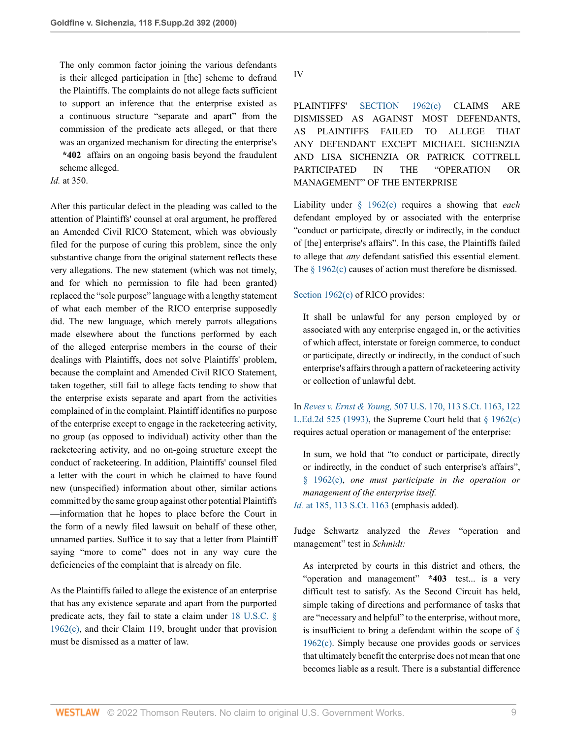The only common factor joining the various defendants is their alleged participation in [the] scheme to defraud the Plaintiffs. The complaints do not allege facts sufficient to support an inference that the enterprise existed as a continuous structure "separate and apart" from the commission of the predicate acts alleged, or that there was an organized mechanism for directing the enterprise's **\*402** affairs on an ongoing basis beyond the fraudulent

scheme alleged.

## *Id.* at 350.

After this particular defect in the pleading was called to the attention of Plaintiffs' counsel at oral argument, he proffered an Amended Civil RICO Statement, which was obviously filed for the purpose of curing this problem, since the only substantive change from the original statement reflects these very allegations. The new statement (which was not timely, and for which no permission to file had been granted) replaced the "sole purpose" language with a lengthy statement of what each member of the RICO enterprise supposedly did. The new language, which merely parrots allegations made elsewhere about the functions performed by each of the alleged enterprise members in the course of their dealings with Plaintiffs, does not solve Plaintiffs' problem, because the complaint and Amended Civil RICO Statement, taken together, still fail to allege facts tending to show that the enterprise exists separate and apart from the activities complained of in the complaint. Plaintiff identifies no purpose of the enterprise except to engage in the racketeering activity, no group (as opposed to individual) activity other than the racketeering activity, and no on-going structure except the conduct of racketeering. In addition, Plaintiffs' counsel filed a letter with the court in which he claimed to have found new (unspecified) information about other, similar actions committed by the same group against other potential Plaintiffs —information that he hopes to place before the Court in the form of a newly filed lawsuit on behalf of these other, unnamed parties. Suffice it to say that a letter from Plaintiff saying "more to come" does not in any way cure the deficiencies of the complaint that is already on file.

As the Plaintiffs failed to allege the existence of an enterprise that has any existence separate and apart from the purported predicate acts, they fail to state a claim under [18 U.S.C. §](http://www.westlaw.com/Link/Document/FullText?findType=L&pubNum=1000546&cite=18USCAS1962&originatingDoc=Ib2410cc053d411d9b17ee4cdc604a702&refType=RB&originationContext=document&vr=3.0&rs=cblt1.0&transitionType=DocumentItem&contextData=(sc.UserEnteredCitation)#co_pp_4b24000003ba5) [1962\(c\)](http://www.westlaw.com/Link/Document/FullText?findType=L&pubNum=1000546&cite=18USCAS1962&originatingDoc=Ib2410cc053d411d9b17ee4cdc604a702&refType=RB&originationContext=document&vr=3.0&rs=cblt1.0&transitionType=DocumentItem&contextData=(sc.UserEnteredCitation)#co_pp_4b24000003ba5), and their Claim 119, brought under that provision must be dismissed as a matter of law.

IV

PLAINTIFFS' [SECTION 1962\(c\)](http://www.westlaw.com/Link/Document/FullText?findType=L&pubNum=1000546&cite=18USCAS1962&originatingDoc=Ib2410cc053d411d9b17ee4cdc604a702&refType=RB&originationContext=document&vr=3.0&rs=cblt1.0&transitionType=DocumentItem&contextData=(sc.UserEnteredCitation)#co_pp_4b24000003ba5) CLAIMS ARE DISMISSED AS AGAINST MOST DEFENDANTS, AS PLAINTIFFS FAILED TO ALLEGE THAT ANY DEFENDANT EXCEPT MICHAEL SICHENZIA AND LISA SICHENZIA OR PATRICK COTTRELL PARTICIPATED IN THE "OPERATION OR MANAGEMENT" OF THE ENTERPRISE

Liability under [§ 1962\(c\)](http://www.westlaw.com/Link/Document/FullText?findType=L&pubNum=1000546&cite=18USCAS1962&originatingDoc=Ib2410cc053d411d9b17ee4cdc604a702&refType=RB&originationContext=document&vr=3.0&rs=cblt1.0&transitionType=DocumentItem&contextData=(sc.UserEnteredCitation)#co_pp_4b24000003ba5) requires a showing that *each* defendant employed by or associated with the enterprise "conduct or participate, directly or indirectly, in the conduct of [the] enterprise's affairs". In this case, the Plaintiffs failed to allege that *any* defendant satisfied this essential element. The  $\frac{1962(c)}{c}$  causes of action must therefore be dismissed.

#### [Section 1962\(c\)](http://www.westlaw.com/Link/Document/FullText?findType=L&pubNum=1000546&cite=18USCAS1962&originatingDoc=Ib2410cc053d411d9b17ee4cdc604a702&refType=RB&originationContext=document&vr=3.0&rs=cblt1.0&transitionType=DocumentItem&contextData=(sc.UserEnteredCitation)#co_pp_4b24000003ba5) of RICO provides:

It shall be unlawful for any person employed by or associated with any enterprise engaged in, or the activities of which affect, interstate or foreign commerce, to conduct or participate, directly or indirectly, in the conduct of such enterprise's affairs through a pattern of racketeering activity or collection of unlawful debt.

In *Reves v. Ernst & Young,* [507 U.S. 170, 113 S.Ct. 1163, 122](http://www.westlaw.com/Link/Document/FullText?findType=Y&serNum=1993059881&pubNum=0000708&originatingDoc=Ib2410cc053d411d9b17ee4cdc604a702&refType=RP&originationContext=document&vr=3.0&rs=cblt1.0&transitionType=DocumentItem&contextData=(sc.UserEnteredCitation)) [L.Ed.2d 525 \(1993\)](http://www.westlaw.com/Link/Document/FullText?findType=Y&serNum=1993059881&pubNum=0000708&originatingDoc=Ib2410cc053d411d9b17ee4cdc604a702&refType=RP&originationContext=document&vr=3.0&rs=cblt1.0&transitionType=DocumentItem&contextData=(sc.UserEnteredCitation)), the Supreme Court held that  $\S$  1962(c) requires actual operation or management of the enterprise:

In sum, we hold that "to conduct or participate, directly or indirectly, in the conduct of such enterprise's affairs", [§ 1962\(c\)](http://www.westlaw.com/Link/Document/FullText?findType=L&pubNum=1000546&cite=18USCAS1962&originatingDoc=Ib2410cc053d411d9b17ee4cdc604a702&refType=RB&originationContext=document&vr=3.0&rs=cblt1.0&transitionType=DocumentItem&contextData=(sc.UserEnteredCitation)#co_pp_4b24000003ba5), *one must participate in the operation or management of the enterprise itself.*

*Id.* [at 185, 113 S.Ct. 1163](http://www.westlaw.com/Link/Document/FullText?findType=Y&serNum=1993059881&pubNum=0000708&originatingDoc=Ib2410cc053d411d9b17ee4cdc604a702&refType=RP&originationContext=document&vr=3.0&rs=cblt1.0&transitionType=DocumentItem&contextData=(sc.UserEnteredCitation)) (emphasis added).

Judge Schwartz analyzed the *Reves* "operation and management" test in *Schmidt:*

As interpreted by courts in this district and others, the "operation and management" **\*403** test... is a very difficult test to satisfy. As the Second Circuit has held, simple taking of directions and performance of tasks that are "necessary and helpful" to the enterprise, without more, is insufficient to bring a defendant within the scope of  $\S$ [1962\(c\)](http://www.westlaw.com/Link/Document/FullText?findType=L&pubNum=1000546&cite=18USCAS1962&originatingDoc=Ib2410cc053d411d9b17ee4cdc604a702&refType=RB&originationContext=document&vr=3.0&rs=cblt1.0&transitionType=DocumentItem&contextData=(sc.UserEnteredCitation)#co_pp_4b24000003ba5). Simply because one provides goods or services that ultimately benefit the enterprise does not mean that one becomes liable as a result. There is a substantial difference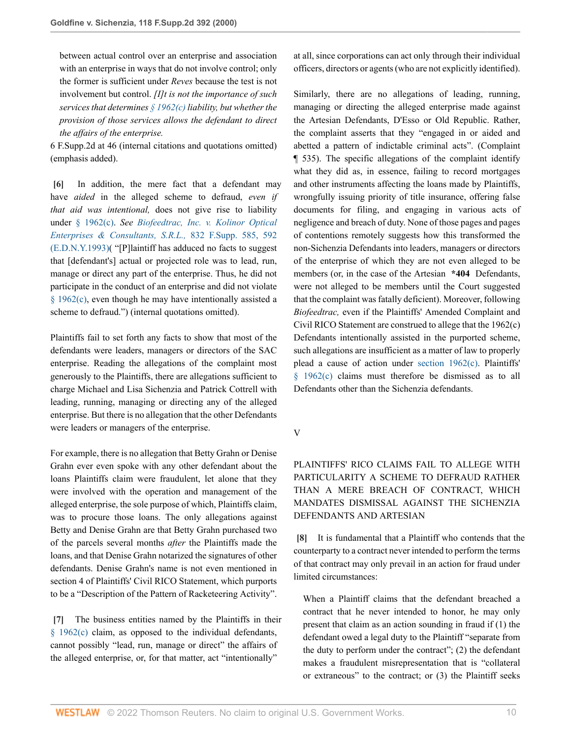between actual control over an enterprise and association with an enterprise in ways that do not involve control; only the former is sufficient under *Reves* because the test is not involvement but control. *[I]t is not the importance of such services that determines [§ 1962\(c\)](http://www.westlaw.com/Link/Document/FullText?findType=L&pubNum=1000546&cite=18USCAS1962&originatingDoc=Ib2410cc053d411d9b17ee4cdc604a702&refType=RB&originationContext=document&vr=3.0&rs=cblt1.0&transitionType=DocumentItem&contextData=(sc.UserEnteredCitation)#co_pp_4b24000003ba5) liability, but whether the provision of those services allows the defendant to direct the affairs of the enterprise.*

6 F.Supp.2d at 46 (internal citations and quotations omitted) (emphasis added).

<span id="page-9-0"></span>**[\[6\]](#page-1-2)** In addition, the mere fact that a defendant may have *aided* in the alleged scheme to defraud, *even if that aid was intentional,* does not give rise to liability under [§ 1962\(c\).](http://www.westlaw.com/Link/Document/FullText?findType=L&pubNum=1000546&cite=18USCAS1962&originatingDoc=Ib2410cc053d411d9b17ee4cdc604a702&refType=RB&originationContext=document&vr=3.0&rs=cblt1.0&transitionType=DocumentItem&contextData=(sc.UserEnteredCitation)#co_pp_4b24000003ba5) *See [Biofeedtrac, Inc. v. Kolinor Optical](http://www.westlaw.com/Link/Document/FullText?findType=Y&serNum=1993178420&pubNum=0000345&originatingDoc=Ib2410cc053d411d9b17ee4cdc604a702&refType=RP&fi=co_pp_sp_345_592&originationContext=document&vr=3.0&rs=cblt1.0&transitionType=DocumentItem&contextData=(sc.UserEnteredCitation)#co_pp_sp_345_592) [Enterprises & Consultants, S.R.L.,](http://www.westlaw.com/Link/Document/FullText?findType=Y&serNum=1993178420&pubNum=0000345&originatingDoc=Ib2410cc053d411d9b17ee4cdc604a702&refType=RP&fi=co_pp_sp_345_592&originationContext=document&vr=3.0&rs=cblt1.0&transitionType=DocumentItem&contextData=(sc.UserEnteredCitation)#co_pp_sp_345_592)* 832 F.Supp. 585, 592 [\(E.D.N.Y.1993\)](http://www.westlaw.com/Link/Document/FullText?findType=Y&serNum=1993178420&pubNum=0000345&originatingDoc=Ib2410cc053d411d9b17ee4cdc604a702&refType=RP&fi=co_pp_sp_345_592&originationContext=document&vr=3.0&rs=cblt1.0&transitionType=DocumentItem&contextData=(sc.UserEnteredCitation)#co_pp_sp_345_592)( "[P]laintiff has adduced no facts to suggest that [defendant's] actual or projected role was to lead, run, manage or direct any part of the enterprise. Thus, he did not participate in the conduct of an enterprise and did not violate [§ 1962\(c\)](http://www.westlaw.com/Link/Document/FullText?findType=L&pubNum=1000546&cite=18USCAS1962&originatingDoc=Ib2410cc053d411d9b17ee4cdc604a702&refType=RB&originationContext=document&vr=3.0&rs=cblt1.0&transitionType=DocumentItem&contextData=(sc.UserEnteredCitation)#co_pp_4b24000003ba5), even though he may have intentionally assisted a scheme to defraud.") (internal quotations omitted).

Plaintiffs fail to set forth any facts to show that most of the defendants were leaders, managers or directors of the SAC enterprise. Reading the allegations of the complaint most generously to the Plaintiffs, there are allegations sufficient to charge Michael and Lisa Sichenzia and Patrick Cottrell with leading, running, managing or directing any of the alleged enterprise. But there is no allegation that the other Defendants were leaders or managers of the enterprise.

For example, there is no allegation that Betty Grahn or Denise Grahn ever even spoke with any other defendant about the loans Plaintiffs claim were fraudulent, let alone that they were involved with the operation and management of the alleged enterprise, the sole purpose of which, Plaintiffs claim, was to procure those loans. The only allegations against Betty and Denise Grahn are that Betty Grahn purchased two of the parcels several months *after* the Plaintiffs made the loans, and that Denise Grahn notarized the signatures of other defendants. Denise Grahn's name is not even mentioned in section 4 of Plaintiffs' Civil RICO Statement, which purports to be a "Description of the Pattern of Racketeering Activity".

<span id="page-9-1"></span>**[\[7\]](#page-1-3)** The business entities named by the Plaintiffs in their [§ 1962\(c\)](http://www.westlaw.com/Link/Document/FullText?findType=L&pubNum=1000546&cite=18USCAS1962&originatingDoc=Ib2410cc053d411d9b17ee4cdc604a702&refType=RB&originationContext=document&vr=3.0&rs=cblt1.0&transitionType=DocumentItem&contextData=(sc.UserEnteredCitation)#co_pp_4b24000003ba5) claim, as opposed to the individual defendants, cannot possibly "lead, run, manage or direct" the affairs of the alleged enterprise, or, for that matter, act "intentionally"

at all, since corporations can act only through their individual officers, directors or agents (who are not explicitly identified).

Similarly, there are no allegations of leading, running, managing or directing the alleged enterprise made against the Artesian Defendants, D'Esso or Old Republic. Rather, the complaint asserts that they "engaged in or aided and abetted a pattern of indictable criminal acts". (Complaint ¶ 535). The specific allegations of the complaint identify what they did as, in essence, failing to record mortgages and other instruments affecting the loans made by Plaintiffs, wrongfully issuing priority of title insurance, offering false documents for filing, and engaging in various acts of negligence and breach of duty. None of those pages and pages of contentions remotely suggests how this transformed the non-Sichenzia Defendants into leaders, managers or directors of the enterprise of which they are not even alleged to be members (or, in the case of the Artesian **\*404** Defendants, were not alleged to be members until the Court suggested that the complaint was fatally deficient). Moreover, following *Biofeedtrac,* even if the Plaintiffs' Amended Complaint and Civil RICO Statement are construed to allege that the 1962(c) Defendants intentionally assisted in the purported scheme, such allegations are insufficient as a matter of law to properly plead a cause of action under [section 1962\(c\)](http://www.westlaw.com/Link/Document/FullText?findType=L&pubNum=1000546&cite=18USCAS1962&originatingDoc=Ib2410cc053d411d9b17ee4cdc604a702&refType=RB&originationContext=document&vr=3.0&rs=cblt1.0&transitionType=DocumentItem&contextData=(sc.UserEnteredCitation)#co_pp_4b24000003ba5). Plaintiffs' [§ 1962\(c\)](http://www.westlaw.com/Link/Document/FullText?findType=L&pubNum=1000546&cite=18USCAS1962&originatingDoc=Ib2410cc053d411d9b17ee4cdc604a702&refType=RB&originationContext=document&vr=3.0&rs=cblt1.0&transitionType=DocumentItem&contextData=(sc.UserEnteredCitation)#co_pp_4b24000003ba5) claims must therefore be dismissed as to all Defendants other than the Sichenzia defendants.

V

# PLAINTIFFS' RICO CLAIMS FAIL TO ALLEGE WITH PARTICULARITY A SCHEME TO DEFRAUD RATHER THAN A MERE BREACH OF CONTRACT, WHICH MANDATES DISMISSAL AGAINST THE SICHENZIA DEFENDANTS AND ARTESIAN

<span id="page-9-2"></span>**[\[8\]](#page-1-4)** It is fundamental that a Plaintiff who contends that the counterparty to a contract never intended to perform the terms of that contract may only prevail in an action for fraud under limited circumstances:

When a Plaintiff claims that the defendant breached a contract that he never intended to honor, he may only present that claim as an action sounding in fraud if (1) the defendant owed a legal duty to the Plaintiff "separate from the duty to perform under the contract"; (2) the defendant makes a fraudulent misrepresentation that is "collateral or extraneous" to the contract; or (3) the Plaintiff seeks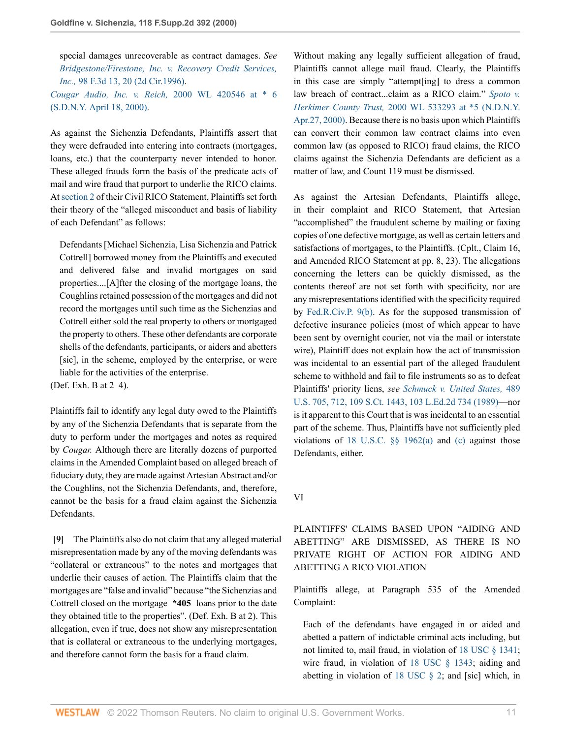special damages unrecoverable as contract damages. *See [Bridgestone/Firestone, Inc. v. Recovery Credit Services,](http://www.westlaw.com/Link/Document/FullText?findType=Y&serNum=1996234275&pubNum=0000506&originatingDoc=Ib2410cc053d411d9b17ee4cdc604a702&refType=RP&fi=co_pp_sp_506_20&originationContext=document&vr=3.0&rs=cblt1.0&transitionType=DocumentItem&contextData=(sc.UserEnteredCitation)#co_pp_sp_506_20) Inc.,* [98 F.3d 13, 20 \(2d Cir.1996\).](http://www.westlaw.com/Link/Document/FullText?findType=Y&serNum=1996234275&pubNum=0000506&originatingDoc=Ib2410cc053d411d9b17ee4cdc604a702&refType=RP&fi=co_pp_sp_506_20&originationContext=document&vr=3.0&rs=cblt1.0&transitionType=DocumentItem&contextData=(sc.UserEnteredCitation)#co_pp_sp_506_20) *[Cougar Audio, Inc. v. Reich,](http://www.westlaw.com/Link/Document/FullText?findType=Y&serNum=2000108076&pubNum=0000999&originatingDoc=Ib2410cc053d411d9b17ee4cdc604a702&refType=RP&originationContext=document&vr=3.0&rs=cblt1.0&transitionType=DocumentItem&contextData=(sc.UserEnteredCitation))* 2000 WL 420546 at \* 6

[\(S.D.N.Y. April 18, 2000\).](http://www.westlaw.com/Link/Document/FullText?findType=Y&serNum=2000108076&pubNum=0000999&originatingDoc=Ib2410cc053d411d9b17ee4cdc604a702&refType=RP&originationContext=document&vr=3.0&rs=cblt1.0&transitionType=DocumentItem&contextData=(sc.UserEnteredCitation))

As against the Sichenzia Defendants, Plaintiffs assert that they were defrauded into entering into contracts (mortgages, loans, etc.) that the counterparty never intended to honor. These alleged frauds form the basis of the predicate acts of mail and wire fraud that purport to underlie the RICO claims. At [section 2](http://www.westlaw.com/Link/Document/FullText?findType=L&pubNum=1000546&cite=18USCAS2&originatingDoc=Ib2410cc053d411d9b17ee4cdc604a702&refType=LQ&originationContext=document&vr=3.0&rs=cblt1.0&transitionType=DocumentItem&contextData=(sc.UserEnteredCitation)) of their Civil RICO Statement, Plaintiffs set forth their theory of the "alleged misconduct and basis of liability of each Defendant" as follows:

Defendants [Michael Sichenzia, Lisa Sichenzia and Patrick Cottrell] borrowed money from the Plaintiffs and executed and delivered false and invalid mortgages on said properties....[A]fter the closing of the mortgage loans, the Coughlins retained possession of the mortgages and did not record the mortgages until such time as the Sichenzias and Cottrell either sold the real property to others or mortgaged the property to others. These other defendants are corporate shells of the defendants, participants, or aiders and abetters [sic], in the scheme, employed by the enterprise, or were liable for the activities of the enterprise.

(Def. Exh. B at 2–4).

Plaintiffs fail to identify any legal duty owed to the Plaintiffs by any of the Sichenzia Defendants that is separate from the duty to perform under the mortgages and notes as required by *Cougar.* Although there are literally dozens of purported claims in the Amended Complaint based on alleged breach of fiduciary duty, they are made against Artesian Abstract and/or the Coughlins, not the Sichenzia Defendants, and, therefore, cannot be the basis for a fraud claim against the Sichenzia Defendants.

<span id="page-10-0"></span>**[\[9\]](#page-1-5)** The Plaintiffs also do not claim that any alleged material misrepresentation made by any of the moving defendants was "collateral or extraneous" to the notes and mortgages that underlie their causes of action. The Plaintiffs claim that the mortgages are "false and invalid" because "the Sichenzias and Cottrell closed on the mortgage **\*405** loans prior to the date they obtained title to the properties". (Def. Exh. B at 2). This allegation, even if true, does not show any misrepresentation that is collateral or extraneous to the underlying mortgages, and therefore cannot form the basis for a fraud claim.

Without making any legally sufficient allegation of fraud, Plaintiffs cannot allege mail fraud. Clearly, the Plaintiffs in this case are simply "attempt[ing] to dress a common law breach of contract...claim as a RICO claim." *[Spoto v.](http://www.westlaw.com/Link/Document/FullText?findType=Y&serNum=2000301749&pubNum=0000999&originatingDoc=Ib2410cc053d411d9b17ee4cdc604a702&refType=RP&originationContext=document&vr=3.0&rs=cblt1.0&transitionType=DocumentItem&contextData=(sc.UserEnteredCitation)) Herkimer County Trust,* [2000 WL 533293 at \\*5 \(N.D.N.Y.](http://www.westlaw.com/Link/Document/FullText?findType=Y&serNum=2000301749&pubNum=0000999&originatingDoc=Ib2410cc053d411d9b17ee4cdc604a702&refType=RP&originationContext=document&vr=3.0&rs=cblt1.0&transitionType=DocumentItem&contextData=(sc.UserEnteredCitation)) [Apr.27, 2000\)](http://www.westlaw.com/Link/Document/FullText?findType=Y&serNum=2000301749&pubNum=0000999&originatingDoc=Ib2410cc053d411d9b17ee4cdc604a702&refType=RP&originationContext=document&vr=3.0&rs=cblt1.0&transitionType=DocumentItem&contextData=(sc.UserEnteredCitation)). Because there is no basis upon which Plaintiffs can convert their common law contract claims into even common law (as opposed to RICO) fraud claims, the RICO claims against the Sichenzia Defendants are deficient as a matter of law, and Count 119 must be dismissed.

As against the Artesian Defendants, Plaintiffs allege, in their complaint and RICO Statement, that Artesian "accomplished" the fraudulent scheme by mailing or faxing copies of one defective mortgage, as well as certain letters and satisfactions of mortgages, to the Plaintiffs. (Cplt., Claim 16, and Amended RICO Statement at pp. 8, 23). The allegations concerning the letters can be quickly dismissed, as the contents thereof are not set forth with specificity, nor are any misrepresentations identified with the specificity required by [Fed.R.Civ.P. 9\(b\).](http://www.westlaw.com/Link/Document/FullText?findType=L&pubNum=1000600&cite=USFRCPR9&originatingDoc=Ib2410cc053d411d9b17ee4cdc604a702&refType=RB&originationContext=document&vr=3.0&rs=cblt1.0&transitionType=DocumentItem&contextData=(sc.UserEnteredCitation)#co_pp_a83b000018c76) As for the supposed transmission of defective insurance policies (most of which appear to have been sent by overnight courier, not via the mail or interstate wire), Plaintiff does not explain how the act of transmission was incidental to an essential part of the alleged fraudulent scheme to withhold and fail to file instruments so as to defeat Plaintiffs' priority liens, *see [Schmuck v. United States,](http://www.westlaw.com/Link/Document/FullText?findType=Y&serNum=1989042741&pubNum=0000708&originatingDoc=Ib2410cc053d411d9b17ee4cdc604a702&refType=RP&originationContext=document&vr=3.0&rs=cblt1.0&transitionType=DocumentItem&contextData=(sc.UserEnteredCitation))* 489 [U.S. 705, 712, 109 S.Ct. 1443, 103 L.Ed.2d 734 \(1989\)—](http://www.westlaw.com/Link/Document/FullText?findType=Y&serNum=1989042741&pubNum=0000708&originatingDoc=Ib2410cc053d411d9b17ee4cdc604a702&refType=RP&originationContext=document&vr=3.0&rs=cblt1.0&transitionType=DocumentItem&contextData=(sc.UserEnteredCitation))nor is it apparent to this Court that is was incidental to an essential part of the scheme. Thus, Plaintiffs have not sufficiently pled violations of [18 U.S.C. §§ 1962\(a\)](http://www.westlaw.com/Link/Document/FullText?findType=L&pubNum=1000546&cite=18USCAS1962&originatingDoc=Ib2410cc053d411d9b17ee4cdc604a702&refType=RB&originationContext=document&vr=3.0&rs=cblt1.0&transitionType=DocumentItem&contextData=(sc.UserEnteredCitation)#co_pp_8b3b0000958a4) and [\(c\)](http://www.westlaw.com/Link/Document/FullText?findType=L&pubNum=1000546&cite=18USCAS1962&originatingDoc=Ib2410cc053d411d9b17ee4cdc604a702&refType=RB&originationContext=document&vr=3.0&rs=cblt1.0&transitionType=DocumentItem&contextData=(sc.UserEnteredCitation)#co_pp_4b24000003ba5) against those Defendants, either.

VI

# PLAINTIFFS' CLAIMS BASED UPON "AIDING AND ABETTING" ARE DISMISSED, AS THERE IS NO PRIVATE RIGHT OF ACTION FOR AIDING AND ABETTING A RICO VIOLATION

Plaintiffs allege, at Paragraph 535 of the Amended Complaint:

Each of the defendants have engaged in or aided and abetted a pattern of indictable criminal acts including, but not limited to, mail fraud, in violation of [18 USC § 1341](http://www.westlaw.com/Link/Document/FullText?findType=L&pubNum=1000546&cite=18USCAS1341&originatingDoc=Ib2410cc053d411d9b17ee4cdc604a702&refType=LQ&originationContext=document&vr=3.0&rs=cblt1.0&transitionType=DocumentItem&contextData=(sc.UserEnteredCitation)); wire fraud, in violation of [18 USC § 1343](http://www.westlaw.com/Link/Document/FullText?findType=L&pubNum=1000546&cite=18USCAS1343&originatingDoc=Ib2410cc053d411d9b17ee4cdc604a702&refType=LQ&originationContext=document&vr=3.0&rs=cblt1.0&transitionType=DocumentItem&contextData=(sc.UserEnteredCitation)); aiding and abetting in violation of [18 USC § 2;](http://www.westlaw.com/Link/Document/FullText?findType=L&pubNum=1000546&cite=18USCAS2&originatingDoc=Ib2410cc053d411d9b17ee4cdc604a702&refType=LQ&originationContext=document&vr=3.0&rs=cblt1.0&transitionType=DocumentItem&contextData=(sc.UserEnteredCitation)) and [sic] which, in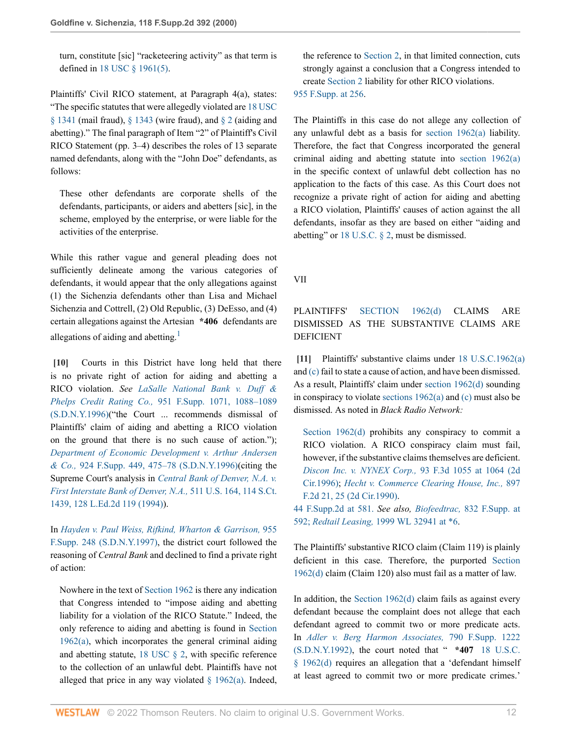turn, constitute [sic] "racketeering activity" as that term is defined in [18 USC § 1961\(5\)](http://www.westlaw.com/Link/Document/FullText?findType=L&pubNum=1000546&cite=18USCAS1961&originatingDoc=Ib2410cc053d411d9b17ee4cdc604a702&refType=RB&originationContext=document&vr=3.0&rs=cblt1.0&transitionType=DocumentItem&contextData=(sc.UserEnteredCitation)#co_pp_362c000048fd7).

Plaintiffs' Civil RICO statement, at Paragraph 4(a), states: "The specific statutes that were allegedly violated are [18 USC](http://www.westlaw.com/Link/Document/FullText?findType=L&pubNum=1000546&cite=18USCAS1341&originatingDoc=Ib2410cc053d411d9b17ee4cdc604a702&refType=LQ&originationContext=document&vr=3.0&rs=cblt1.0&transitionType=DocumentItem&contextData=(sc.UserEnteredCitation))  $\S$  1341 (mail fraud),  $\S$  1343 (wire fraud), and  $\S$  2 (aiding and abetting)." The final paragraph of Item "2" of Plaintiff's Civil RICO Statement (pp. 3–4) describes the roles of 13 separate named defendants, along with the "John Doe" defendants, as follows:

These other defendants are corporate shells of the defendants, participants, or aiders and abetters [sic], in the scheme, employed by the enterprise, or were liable for the activities of the enterprise.

While this rather vague and general pleading does not sufficiently delineate among the various categories of defendants, it would appear that the only allegations against (1) the Sichenzia defendants other than Lisa and Michael Sichenzia and Cottrell, (2) Old Republic, (3) DeEsso, and (4) certain allegations against the Artesian **\*406** defendants are allegations of aiding and abetting.<sup>[1](#page-13-0)</sup>

<span id="page-11-0"></span>**[\[10\]](#page-1-6)** Courts in this District have long held that there is no private right of action for aiding and abetting a RICO violation. *See [LaSalle National Bank v. Duff &](http://www.westlaw.com/Link/Document/FullText?findType=Y&serNum=1997028720&pubNum=0000345&originatingDoc=Ib2410cc053d411d9b17ee4cdc604a702&refType=RP&fi=co_pp_sp_345_1088&originationContext=document&vr=3.0&rs=cblt1.0&transitionType=DocumentItem&contextData=(sc.UserEnteredCitation)#co_pp_sp_345_1088) Phelps Credit Rating Co.,* [951 F.Supp. 1071, 1088–1089](http://www.westlaw.com/Link/Document/FullText?findType=Y&serNum=1997028720&pubNum=0000345&originatingDoc=Ib2410cc053d411d9b17ee4cdc604a702&refType=RP&fi=co_pp_sp_345_1088&originationContext=document&vr=3.0&rs=cblt1.0&transitionType=DocumentItem&contextData=(sc.UserEnteredCitation)#co_pp_sp_345_1088) [\(S.D.N.Y.1996\)\(](http://www.westlaw.com/Link/Document/FullText?findType=Y&serNum=1997028720&pubNum=0000345&originatingDoc=Ib2410cc053d411d9b17ee4cdc604a702&refType=RP&fi=co_pp_sp_345_1088&originationContext=document&vr=3.0&rs=cblt1.0&transitionType=DocumentItem&contextData=(sc.UserEnteredCitation)#co_pp_sp_345_1088)"the Court ... recommends dismissal of Plaintiffs' claim of aiding and abetting a RICO violation on the ground that there is no such cause of action."); *[Department of Economic Development v. Arthur Andersen](http://www.westlaw.com/Link/Document/FullText?findType=Y&serNum=1996084134&pubNum=0000345&originatingDoc=Ib2410cc053d411d9b17ee4cdc604a702&refType=RP&fi=co_pp_sp_345_475&originationContext=document&vr=3.0&rs=cblt1.0&transitionType=DocumentItem&contextData=(sc.UserEnteredCitation)#co_pp_sp_345_475) & Co.,* [924 F.Supp. 449, 475–78 \(S.D.N.Y.1996\)](http://www.westlaw.com/Link/Document/FullText?findType=Y&serNum=1996084134&pubNum=0000345&originatingDoc=Ib2410cc053d411d9b17ee4cdc604a702&refType=RP&fi=co_pp_sp_345_475&originationContext=document&vr=3.0&rs=cblt1.0&transitionType=DocumentItem&contextData=(sc.UserEnteredCitation)#co_pp_sp_345_475)(citing the Supreme Court's analysis in *[Central Bank of Denver, N.A. v.](http://www.westlaw.com/Link/Document/FullText?findType=Y&serNum=1994086670&pubNum=0000708&originatingDoc=Ib2410cc053d411d9b17ee4cdc604a702&refType=RP&originationContext=document&vr=3.0&rs=cblt1.0&transitionType=DocumentItem&contextData=(sc.UserEnteredCitation)) [First Interstate Bank of Denver, N.A.,](http://www.westlaw.com/Link/Document/FullText?findType=Y&serNum=1994086670&pubNum=0000708&originatingDoc=Ib2410cc053d411d9b17ee4cdc604a702&refType=RP&originationContext=document&vr=3.0&rs=cblt1.0&transitionType=DocumentItem&contextData=(sc.UserEnteredCitation))* 511 U.S. 164, 114 S.Ct. [1439, 128 L.Ed.2d 119 \(1994\)\)](http://www.westlaw.com/Link/Document/FullText?findType=Y&serNum=1994086670&pubNum=0000708&originatingDoc=Ib2410cc053d411d9b17ee4cdc604a702&refType=RP&originationContext=document&vr=3.0&rs=cblt1.0&transitionType=DocumentItem&contextData=(sc.UserEnteredCitation)).

In *[Hayden v. Paul Weiss, Rifkind, Wharton & Garrison,](http://www.westlaw.com/Link/Document/FullText?findType=Y&serNum=1997057723&pubNum=0000345&originatingDoc=Ib2410cc053d411d9b17ee4cdc604a702&refType=RP&originationContext=document&vr=3.0&rs=cblt1.0&transitionType=DocumentItem&contextData=(sc.UserEnteredCitation))* 955 [F.Supp. 248 \(S.D.N.Y.1997\),](http://www.westlaw.com/Link/Document/FullText?findType=Y&serNum=1997057723&pubNum=0000345&originatingDoc=Ib2410cc053d411d9b17ee4cdc604a702&refType=RP&originationContext=document&vr=3.0&rs=cblt1.0&transitionType=DocumentItem&contextData=(sc.UserEnteredCitation)) the district court followed the reasoning of *Central Bank* and declined to find a private right of action:

Nowhere in the text of [Section 1962](http://www.westlaw.com/Link/Document/FullText?findType=L&pubNum=1000546&cite=18USCAS1962&originatingDoc=Ib2410cc053d411d9b17ee4cdc604a702&refType=LQ&originationContext=document&vr=3.0&rs=cblt1.0&transitionType=DocumentItem&contextData=(sc.UserEnteredCitation)) is there any indication that Congress intended to "impose aiding and abetting liability for a violation of the RICO Statute." Indeed, the only reference to aiding and abetting is found in [Section](http://www.westlaw.com/Link/Document/FullText?findType=L&pubNum=1000546&cite=18USCAS1962&originatingDoc=Ib2410cc053d411d9b17ee4cdc604a702&refType=RB&originationContext=document&vr=3.0&rs=cblt1.0&transitionType=DocumentItem&contextData=(sc.UserEnteredCitation)#co_pp_8b3b0000958a4) [1962\(a\)](http://www.westlaw.com/Link/Document/FullText?findType=L&pubNum=1000546&cite=18USCAS1962&originatingDoc=Ib2410cc053d411d9b17ee4cdc604a702&refType=RB&originationContext=document&vr=3.0&rs=cblt1.0&transitionType=DocumentItem&contextData=(sc.UserEnteredCitation)#co_pp_8b3b0000958a4), which incorporates the general criminal aiding and abetting statute,  $18 \text{ USC} \text{ } \text{\&} 2$ , with specific reference to the collection of an unlawful debt. Plaintiffs have not alleged that price in any way violated  $\S$  1962(a). Indeed,

the reference to [Section 2](http://www.westlaw.com/Link/Document/FullText?findType=L&pubNum=1000546&cite=18USCAS2&originatingDoc=Ib2410cc053d411d9b17ee4cdc604a702&refType=LQ&originationContext=document&vr=3.0&rs=cblt1.0&transitionType=DocumentItem&contextData=(sc.UserEnteredCitation)), in that limited connection, cuts strongly against a conclusion that a Congress intended to create [Section 2](http://www.westlaw.com/Link/Document/FullText?findType=L&pubNum=1000546&cite=18USCAS2&originatingDoc=Ib2410cc053d411d9b17ee4cdc604a702&refType=LQ&originationContext=document&vr=3.0&rs=cblt1.0&transitionType=DocumentItem&contextData=(sc.UserEnteredCitation)) liability for other RICO violations. [955 F.Supp. at 256](http://www.westlaw.com/Link/Document/FullText?findType=Y&serNum=1997057723&pubNum=0000345&originatingDoc=Ib2410cc053d411d9b17ee4cdc604a702&refType=RP&fi=co_pp_sp_345_256&originationContext=document&vr=3.0&rs=cblt1.0&transitionType=DocumentItem&contextData=(sc.UserEnteredCitation)#co_pp_sp_345_256).

The Plaintiffs in this case do not allege any collection of any unlawful debt as a basis for [section 1962\(a\)](http://www.westlaw.com/Link/Document/FullText?findType=L&pubNum=1000546&cite=18USCAS1962&originatingDoc=Ib2410cc053d411d9b17ee4cdc604a702&refType=RB&originationContext=document&vr=3.0&rs=cblt1.0&transitionType=DocumentItem&contextData=(sc.UserEnteredCitation)#co_pp_8b3b0000958a4) liability. Therefore, the fact that Congress incorporated the general criminal aiding and abetting statute into [section 1962\(a\)](http://www.westlaw.com/Link/Document/FullText?findType=L&pubNum=1000546&cite=18USCAS1962&originatingDoc=Ib2410cc053d411d9b17ee4cdc604a702&refType=LQ&originationContext=document&vr=3.0&rs=cblt1.0&transitionType=DocumentItem&contextData=(sc.UserEnteredCitation)) in the specific context of unlawful debt collection has no application to the facts of this case. As this Court does not recognize a private right of action for aiding and abetting a RICO violation, Plaintiffs' causes of action against the all defendants, insofar as they are based on either "aiding and abetting" or [18 U.S.C. § 2](http://www.westlaw.com/Link/Document/FullText?findType=L&pubNum=1000546&cite=18USCAS2&originatingDoc=Ib2410cc053d411d9b17ee4cdc604a702&refType=LQ&originationContext=document&vr=3.0&rs=cblt1.0&transitionType=DocumentItem&contextData=(sc.UserEnteredCitation)), must be dismissed.

VII

<span id="page-11-2"></span>PLAINTIFFS' [SECTION 1962\(d\)](http://www.westlaw.com/Link/Document/FullText?findType=L&pubNum=1000546&cite=18USCAS1962&originatingDoc=Ib2410cc053d411d9b17ee4cdc604a702&refType=RB&originationContext=document&vr=3.0&rs=cblt1.0&transitionType=DocumentItem&contextData=(sc.UserEnteredCitation)#co_pp_5ba1000067d06) CLAIMS ARE DISMISSED AS THE SUBSTANTIVE CLAIMS ARE DEFICIENT

<span id="page-11-1"></span>**[\[11\]](#page-1-7)** Plaintiffs' substantive claims under [18 U.S.C.1962\(a\)](http://www.westlaw.com/Link/Document/FullText?findType=L&pubNum=1000546&cite=18USCAS1962&originatingDoc=Ib2410cc053d411d9b17ee4cdc604a702&refType=RB&originationContext=document&vr=3.0&rs=cblt1.0&transitionType=DocumentItem&contextData=(sc.UserEnteredCitation)#co_pp_8b3b0000958a4) and [\(c\)](http://www.westlaw.com/Link/Document/FullText?findType=L&pubNum=1000546&cite=18USCAS1962&originatingDoc=Ib2410cc053d411d9b17ee4cdc604a702&refType=RB&originationContext=document&vr=3.0&rs=cblt1.0&transitionType=DocumentItem&contextData=(sc.UserEnteredCitation)#co_pp_4b24000003ba5) fail to state a cause of action, and have been dismissed. As a result, Plaintiffs' claim under [section 1962\(d\)](http://www.westlaw.com/Link/Document/FullText?findType=L&pubNum=1000546&cite=18USCAS1962&originatingDoc=Ib2410cc053d411d9b17ee4cdc604a702&refType=RB&originationContext=document&vr=3.0&rs=cblt1.0&transitionType=DocumentItem&contextData=(sc.UserEnteredCitation)#co_pp_5ba1000067d06) sounding in conspiracy to violate [sections 1962\(a\)](http://www.westlaw.com/Link/Document/FullText?findType=L&pubNum=1000546&cite=18USCAS1962&originatingDoc=Ib2410cc053d411d9b17ee4cdc604a702&refType=RB&originationContext=document&vr=3.0&rs=cblt1.0&transitionType=DocumentItem&contextData=(sc.UserEnteredCitation)#co_pp_8b3b0000958a4) and [\(c\)](http://www.westlaw.com/Link/Document/FullText?findType=L&pubNum=1000546&cite=18USCAS1962&originatingDoc=Ib2410cc053d411d9b17ee4cdc604a702&refType=RB&originationContext=document&vr=3.0&rs=cblt1.0&transitionType=DocumentItem&contextData=(sc.UserEnteredCitation)#co_pp_4b24000003ba5) must also be dismissed. As noted in *Black Radio Network:*

[Section 1962\(d\)](http://www.westlaw.com/Link/Document/FullText?findType=L&pubNum=1000546&cite=18USCAS1962&originatingDoc=Ib2410cc053d411d9b17ee4cdc604a702&refType=RB&originationContext=document&vr=3.0&rs=cblt1.0&transitionType=DocumentItem&contextData=(sc.UserEnteredCitation)#co_pp_5ba1000067d06) prohibits any conspiracy to commit a RICO violation. A RICO conspiracy claim must fail, however, if the substantive claims themselves are deficient. *[Discon Inc. v. NYNEX Corp.,](http://www.westlaw.com/Link/Document/FullText?findType=Y&serNum=1996197208&pubNum=0000506&originatingDoc=Ib2410cc053d411d9b17ee4cdc604a702&refType=RP&fi=co_pp_sp_506_1064&originationContext=document&vr=3.0&rs=cblt1.0&transitionType=DocumentItem&contextData=(sc.UserEnteredCitation)#co_pp_sp_506_1064)* 93 F.3d 1055 at 1064 (2d [Cir.1996\)](http://www.westlaw.com/Link/Document/FullText?findType=Y&serNum=1996197208&pubNum=0000506&originatingDoc=Ib2410cc053d411d9b17ee4cdc604a702&refType=RP&fi=co_pp_sp_506_1064&originationContext=document&vr=3.0&rs=cblt1.0&transitionType=DocumentItem&contextData=(sc.UserEnteredCitation)#co_pp_sp_506_1064); *[Hecht v. Commerce Clearing House, Inc.,](http://www.westlaw.com/Link/Document/FullText?findType=Y&serNum=1990029732&pubNum=0000350&originatingDoc=Ib2410cc053d411d9b17ee4cdc604a702&refType=RP&fi=co_pp_sp_350_25&originationContext=document&vr=3.0&rs=cblt1.0&transitionType=DocumentItem&contextData=(sc.UserEnteredCitation)#co_pp_sp_350_25)* 897 [F.2d 21, 25 \(2d Cir.1990\)](http://www.westlaw.com/Link/Document/FullText?findType=Y&serNum=1990029732&pubNum=0000350&originatingDoc=Ib2410cc053d411d9b17ee4cdc604a702&refType=RP&fi=co_pp_sp_350_25&originationContext=document&vr=3.0&rs=cblt1.0&transitionType=DocumentItem&contextData=(sc.UserEnteredCitation)#co_pp_sp_350_25).

[44 F.Supp.2d at 581.](http://www.westlaw.com/Link/Document/FullText?findType=Y&serNum=1999102010&pubNum=4637&originatingDoc=Ib2410cc053d411d9b17ee4cdc604a702&refType=RP&fi=co_pp_sp_4637_581&originationContext=document&vr=3.0&rs=cblt1.0&transitionType=DocumentItem&contextData=(sc.UserEnteredCitation)#co_pp_sp_4637_581) *See also, Biofeedtrac,* [832 F.Supp. at](http://www.westlaw.com/Link/Document/FullText?findType=Y&serNum=1993178420&pubNum=345&originatingDoc=Ib2410cc053d411d9b17ee4cdc604a702&refType=RP&fi=co_pp_sp_345_592&originationContext=document&vr=3.0&rs=cblt1.0&transitionType=DocumentItem&contextData=(sc.UserEnteredCitation)#co_pp_sp_345_592) [592;](http://www.westlaw.com/Link/Document/FullText?findType=Y&serNum=1993178420&pubNum=345&originatingDoc=Ib2410cc053d411d9b17ee4cdc604a702&refType=RP&fi=co_pp_sp_345_592&originationContext=document&vr=3.0&rs=cblt1.0&transitionType=DocumentItem&contextData=(sc.UserEnteredCitation)#co_pp_sp_345_592) *Redtail Leasing,* [1999 WL 32941 at \\*6.](http://www.westlaw.com/Link/Document/FullText?findType=Y&serNum=1999039124&pubNum=0000999&originatingDoc=Ib2410cc053d411d9b17ee4cdc604a702&refType=RP&originationContext=document&vr=3.0&rs=cblt1.0&transitionType=DocumentItem&contextData=(sc.UserEnteredCitation))

The Plaintiffs' substantive RICO claim (Claim 119) is plainly deficient in this case. Therefore, the purported [Section](http://www.westlaw.com/Link/Document/FullText?findType=L&pubNum=1000546&cite=18USCAS1962&originatingDoc=Ib2410cc053d411d9b17ee4cdc604a702&refType=RB&originationContext=document&vr=3.0&rs=cblt1.0&transitionType=DocumentItem&contextData=(sc.UserEnteredCitation)#co_pp_5ba1000067d06) [1962\(d\)](http://www.westlaw.com/Link/Document/FullText?findType=L&pubNum=1000546&cite=18USCAS1962&originatingDoc=Ib2410cc053d411d9b17ee4cdc604a702&refType=RB&originationContext=document&vr=3.0&rs=cblt1.0&transitionType=DocumentItem&contextData=(sc.UserEnteredCitation)#co_pp_5ba1000067d06) claim (Claim 120) also must fail as a matter of law.

In addition, the Section  $1962(d)$  claim fails as against every defendant because the complaint does not allege that each defendant agreed to commit two or more predicate acts. In *[Adler v. Berg Harmon Associates,](http://www.westlaw.com/Link/Document/FullText?findType=Y&serNum=1992074419&pubNum=0000345&originatingDoc=Ib2410cc053d411d9b17ee4cdc604a702&refType=RP&originationContext=document&vr=3.0&rs=cblt1.0&transitionType=DocumentItem&contextData=(sc.UserEnteredCitation))* 790 F.Supp. 1222 [\(S.D.N.Y.1992\),](http://www.westlaw.com/Link/Document/FullText?findType=Y&serNum=1992074419&pubNum=0000345&originatingDoc=Ib2410cc053d411d9b17ee4cdc604a702&refType=RP&originationContext=document&vr=3.0&rs=cblt1.0&transitionType=DocumentItem&contextData=(sc.UserEnteredCitation)) the court noted that " **\*407** [18 U.S.C.](http://www.westlaw.com/Link/Document/FullText?findType=L&pubNum=1000546&cite=18USCAS1962&originatingDoc=Ib2410cc053d411d9b17ee4cdc604a702&refType=RB&originationContext=document&vr=3.0&rs=cblt1.0&transitionType=DocumentItem&contextData=(sc.UserEnteredCitation)#co_pp_5ba1000067d06) [§ 1962\(d\)](http://www.westlaw.com/Link/Document/FullText?findType=L&pubNum=1000546&cite=18USCAS1962&originatingDoc=Ib2410cc053d411d9b17ee4cdc604a702&refType=RB&originationContext=document&vr=3.0&rs=cblt1.0&transitionType=DocumentItem&contextData=(sc.UserEnteredCitation)#co_pp_5ba1000067d06) requires an allegation that a 'defendant himself at least agreed to commit two or more predicate crimes.'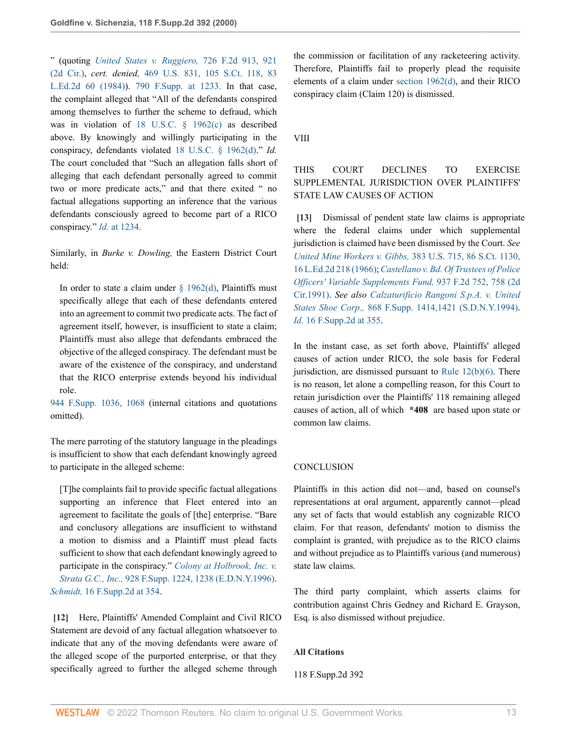" (quoting *[United States v. Ruggiero,](http://www.westlaw.com/Link/Document/FullText?findType=Y&serNum=1984105226&pubNum=0000350&originatingDoc=Ib2410cc053d411d9b17ee4cdc604a702&refType=RP&fi=co_pp_sp_350_921&originationContext=document&vr=3.0&rs=cblt1.0&transitionType=DocumentItem&contextData=(sc.UserEnteredCitation)#co_pp_sp_350_921)* 726 F.2d 913, 921 [\(2d Cir.\)](http://www.westlaw.com/Link/Document/FullText?findType=Y&serNum=1984105226&pubNum=0000350&originatingDoc=Ib2410cc053d411d9b17ee4cdc604a702&refType=RP&fi=co_pp_sp_350_921&originationContext=document&vr=3.0&rs=cblt1.0&transitionType=DocumentItem&contextData=(sc.UserEnteredCitation)#co_pp_sp_350_921), *cert. denied,* [469 U.S. 831, 105 S.Ct. 118, 83](http://www.westlaw.com/Link/Document/FullText?findType=Y&serNum=1984238943&pubNum=0000708&originatingDoc=Ib2410cc053d411d9b17ee4cdc604a702&refType=RP&originationContext=document&vr=3.0&rs=cblt1.0&transitionType=DocumentItem&contextData=(sc.UserEnteredCitation)) [L.Ed.2d 60 \(1984\)](http://www.westlaw.com/Link/Document/FullText?findType=Y&serNum=1984238943&pubNum=0000708&originatingDoc=Ib2410cc053d411d9b17ee4cdc604a702&refType=RP&originationContext=document&vr=3.0&rs=cblt1.0&transitionType=DocumentItem&contextData=(sc.UserEnteredCitation))). [790 F.Supp. at 1233.](http://www.westlaw.com/Link/Document/FullText?findType=Y&serNum=1992074419&pubNum=345&originatingDoc=Ib2410cc053d411d9b17ee4cdc604a702&refType=RP&fi=co_pp_sp_345_1233&originationContext=document&vr=3.0&rs=cblt1.0&transitionType=DocumentItem&contextData=(sc.UserEnteredCitation)#co_pp_sp_345_1233) In that case, the complaint alleged that "All of the defendants conspired among themselves to further the scheme to defraud, which was in violation of [18 U.S.C. § 1962\(c\)](http://www.westlaw.com/Link/Document/FullText?findType=L&pubNum=1000546&cite=18USCAS1962&originatingDoc=Ib2410cc053d411d9b17ee4cdc604a702&refType=RB&originationContext=document&vr=3.0&rs=cblt1.0&transitionType=DocumentItem&contextData=(sc.UserEnteredCitation)#co_pp_4b24000003ba5) as described above. By knowingly and willingly participating in the conspiracy, defendants violated [18 U.S.C. § 1962\(d\).](http://www.westlaw.com/Link/Document/FullText?findType=L&pubNum=1000546&cite=18USCAS1962&originatingDoc=Ib2410cc053d411d9b17ee4cdc604a702&refType=RB&originationContext=document&vr=3.0&rs=cblt1.0&transitionType=DocumentItem&contextData=(sc.UserEnteredCitation)#co_pp_5ba1000067d06)" *Id.* The court concluded that "Such an allegation falls short of alleging that each defendant personally agreed to commit two or more predicate acts," and that there exited " no factual allegations supporting an inference that the various defendants consciously agreed to become part of a RICO conspiracy." *Id.* [at 1234](http://www.westlaw.com/Link/Document/FullText?findType=Y&serNum=1992074419&pubNum=0000345&originatingDoc=Ib2410cc053d411d9b17ee4cdc604a702&refType=RP&fi=co_pp_sp_345_1234&originationContext=document&vr=3.0&rs=cblt1.0&transitionType=DocumentItem&contextData=(sc.UserEnteredCitation)#co_pp_sp_345_1234).

Similarly, in *Burke v. Dowling,* the Eastern District Court held:

In order to state a claim under  $\S$  1962(d), Plaintiffs must specifically allege that each of these defendants entered into an agreement to commit two predicate acts. The fact of agreement itself, however, is insufficient to state a claim; Plaintiffs must also allege that defendants embraced the objective of the alleged conspiracy. The defendant must be aware of the existence of the conspiracy, and understand that the RICO enterprise extends beyond his individual role.

[944 F.Supp. 1036, 1068](http://www.westlaw.com/Link/Document/FullText?findType=Y&serNum=1996239855&pubNum=0000345&originatingDoc=Ib2410cc053d411d9b17ee4cdc604a702&refType=RP&fi=co_pp_sp_345_1068&originationContext=document&vr=3.0&rs=cblt1.0&transitionType=DocumentItem&contextData=(sc.UserEnteredCitation)#co_pp_sp_345_1068) (internal citations and quotations omitted).

The mere parroting of the statutory language in the pleadings is insufficient to show that each defendant knowingly agreed to participate in the alleged scheme:

[T]he complaints fail to provide specific factual allegations supporting an inference that Fleet entered into an agreement to facilitate the goals of [the] enterprise. "Bare and conclusory allegations are insufficient to withstand a motion to dismiss and a Plaintiff must plead facts sufficient to show that each defendant knowingly agreed to participate in the conspiracy." *[Colony at Holbrook, Inc. v.](http://www.westlaw.com/Link/Document/FullText?findType=Y&serNum=1996122536&pubNum=0000345&originatingDoc=Ib2410cc053d411d9b17ee4cdc604a702&refType=RP&fi=co_pp_sp_345_1238&originationContext=document&vr=3.0&rs=cblt1.0&transitionType=DocumentItem&contextData=(sc.UserEnteredCitation)#co_pp_sp_345_1238) Strata G.C., Inc.,* [928 F.Supp. 1224, 1238 \(E.D.N.Y.1996\).](http://www.westlaw.com/Link/Document/FullText?findType=Y&serNum=1996122536&pubNum=0000345&originatingDoc=Ib2410cc053d411d9b17ee4cdc604a702&refType=RP&fi=co_pp_sp_345_1238&originationContext=document&vr=3.0&rs=cblt1.0&transitionType=DocumentItem&contextData=(sc.UserEnteredCitation)#co_pp_sp_345_1238) *Schmidt,* [16 F.Supp.2d at 354](http://www.westlaw.com/Link/Document/FullText?findType=Y&serNum=1998167142&pubNum=0004637&originatingDoc=Ib2410cc053d411d9b17ee4cdc604a702&refType=RP&fi=co_pp_sp_4637_354&originationContext=document&vr=3.0&rs=cblt1.0&transitionType=DocumentItem&contextData=(sc.UserEnteredCitation)#co_pp_sp_4637_354).

<span id="page-12-0"></span>**[\[12\]](#page-1-8)** Here, Plaintiffs' Amended Complaint and Civil RICO Statement are devoid of any factual allegation whatsoever to indicate that any of the moving defendants were aware of the alleged scope of the purported enterprise, or that they specifically agreed to further the alleged scheme through

the commission or facilitation of any racketeering activity. Therefore, Plaintiffs fail to properly plead the requisite elements of a claim under [section 1962\(d\),](http://www.westlaw.com/Link/Document/FullText?findType=L&pubNum=1000546&cite=18USCAS1962&originatingDoc=Ib2410cc053d411d9b17ee4cdc604a702&refType=RB&originationContext=document&vr=3.0&rs=cblt1.0&transitionType=DocumentItem&contextData=(sc.UserEnteredCitation)#co_pp_5ba1000067d06) and their RICO conspiracy claim (Claim 120) is dismissed.

VIII

## THIS COURT DECLINES TO EXERCISE SUPPLEMENTAL JURISDICTION OVER PLAINTIFFS' STATE LAW CAUSES OF ACTION

<span id="page-12-1"></span>**[\[13\]](#page-2-0)** Dismissal of pendent state law claims is appropriate where the federal claims under which supplemental jurisdiction is claimed have been dismissed by the Court. *See [United Mine Workers v. Gibbs,](http://www.westlaw.com/Link/Document/FullText?findType=Y&serNum=1966112628&pubNum=0000708&originatingDoc=Ib2410cc053d411d9b17ee4cdc604a702&refType=RP&originationContext=document&vr=3.0&rs=cblt1.0&transitionType=DocumentItem&contextData=(sc.UserEnteredCitation))* 383 U.S. 715, 86 S.Ct. 1130, [16 L.Ed.2d 218 \(1966\);](http://www.westlaw.com/Link/Document/FullText?findType=Y&serNum=1966112628&pubNum=0000708&originatingDoc=Ib2410cc053d411d9b17ee4cdc604a702&refType=RP&originationContext=document&vr=3.0&rs=cblt1.0&transitionType=DocumentItem&contextData=(sc.UserEnteredCitation)) *[Castellano v. Bd. Of Trustees of Police](http://www.westlaw.com/Link/Document/FullText?findType=Y&serNum=1991116579&pubNum=0000350&originatingDoc=Ib2410cc053d411d9b17ee4cdc604a702&refType=RP&fi=co_pp_sp_350_758&originationContext=document&vr=3.0&rs=cblt1.0&transitionType=DocumentItem&contextData=(sc.UserEnteredCitation)#co_pp_sp_350_758) [Officers' Variable Supplements Fund,](http://www.westlaw.com/Link/Document/FullText?findType=Y&serNum=1991116579&pubNum=0000350&originatingDoc=Ib2410cc053d411d9b17ee4cdc604a702&refType=RP&fi=co_pp_sp_350_758&originationContext=document&vr=3.0&rs=cblt1.0&transitionType=DocumentItem&contextData=(sc.UserEnteredCitation)#co_pp_sp_350_758)* 937 F.2d 752, 758 (2d [Cir.1991\)](http://www.westlaw.com/Link/Document/FullText?findType=Y&serNum=1991116579&pubNum=0000350&originatingDoc=Ib2410cc053d411d9b17ee4cdc604a702&refType=RP&fi=co_pp_sp_350_758&originationContext=document&vr=3.0&rs=cblt1.0&transitionType=DocumentItem&contextData=(sc.UserEnteredCitation)#co_pp_sp_350_758). *See also [Calzaturificio Rangoni S.p.A. v. United](http://www.westlaw.com/Link/Document/FullText?findType=Y&serNum=1994242332&pubNum=0000345&originatingDoc=Ib2410cc053d411d9b17ee4cdc604a702&refType=RP&fi=co_pp_sp_345_1421&originationContext=document&vr=3.0&rs=cblt1.0&transitionType=DocumentItem&contextData=(sc.UserEnteredCitation)#co_pp_sp_345_1421) States Shoe Corp.,* [868 F.Supp. 1414,1421 \(S.D.N.Y.1994\).](http://www.westlaw.com/Link/Document/FullText?findType=Y&serNum=1994242332&pubNum=0000345&originatingDoc=Ib2410cc053d411d9b17ee4cdc604a702&refType=RP&fi=co_pp_sp_345_1421&originationContext=document&vr=3.0&rs=cblt1.0&transitionType=DocumentItem&contextData=(sc.UserEnteredCitation)#co_pp_sp_345_1421) *Id.* [16 F.Supp.2d at 355](http://www.westlaw.com/Link/Document/FullText?findType=Y&serNum=1998167142&pubNum=4637&originatingDoc=Ib2410cc053d411d9b17ee4cdc604a702&refType=RP&fi=co_pp_sp_4637_355&originationContext=document&vr=3.0&rs=cblt1.0&transitionType=DocumentItem&contextData=(sc.UserEnteredCitation)#co_pp_sp_4637_355).

In the instant case, as set forth above, Plaintiffs' alleged causes of action under RICO, the sole basis for Federal jurisdiction, are dismissed pursuant to [Rule 12\(b\)\(6\).](http://www.westlaw.com/Link/Document/FullText?findType=L&pubNum=1000600&cite=USFRCPR12&originatingDoc=Ib2410cc053d411d9b17ee4cdc604a702&refType=RB&originationContext=document&vr=3.0&rs=cblt1.0&transitionType=DocumentItem&contextData=(sc.UserEnteredCitation)#co_pp_61d20000b6d76) There is no reason, let alone a compelling reason, for this Court to retain jurisdiction over the Plaintiffs' 118 remaining alleged causes of action, all of which **\*408** are based upon state or common law claims.

### **CONCLUSION**

Plaintiffs in this action did not—and, based on counsel's representations at oral argument, apparently cannot—plead any set of facts that would establish any cognizable RICO claim. For that reason, defendants' motion to dismiss the complaint is granted, with prejudice as to the RICO claims and without prejudice as to Plaintiffs various (and numerous) state law claims.

The third party complaint, which asserts claims for contribution against Chris Gedney and Richard E. Grayson, Esq. is also dismissed without prejudice.

### **All Citations**

118 F.Supp.2d 392